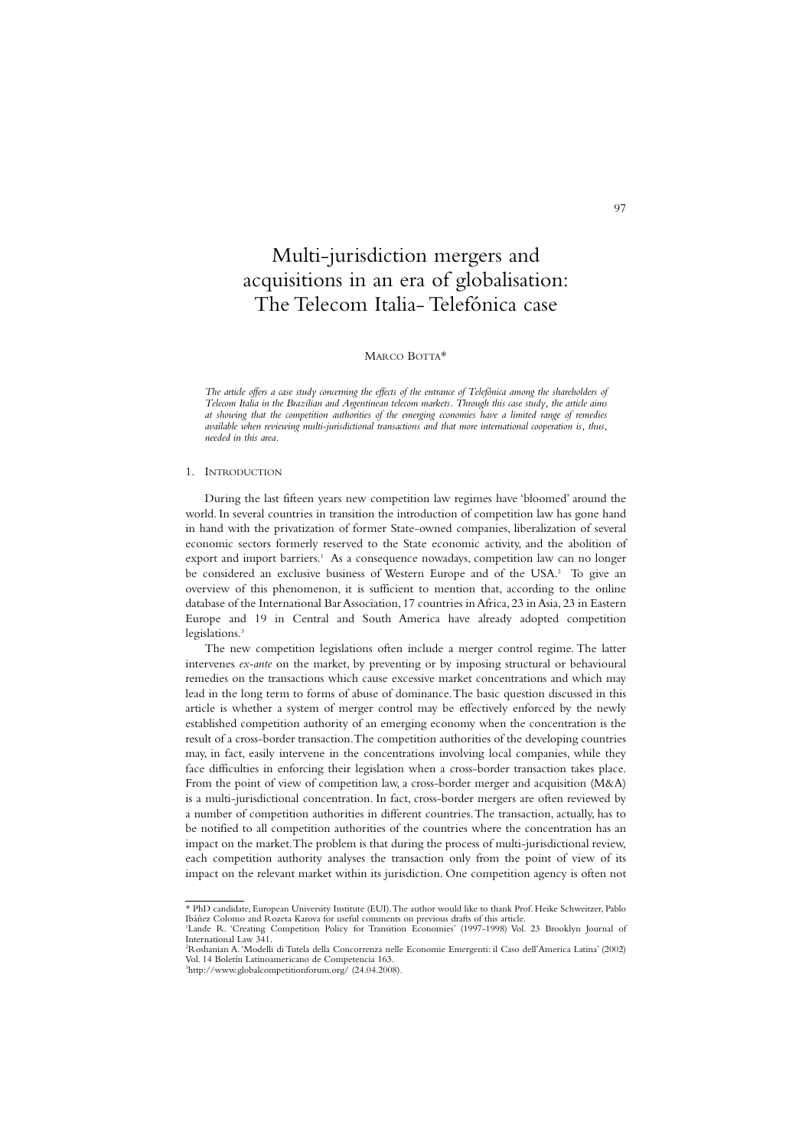# Multi-jurisdiction mergers and acquisitions in an era of globalisation: The Telecom Italia- Telefónica case

**97** 

## MARCO BOTTA\*

*The article offers a case study concerning the effects of the entrance of Telefónica among the shareholders of Telecom Italia in the Brazilian and Argentinean telecom markets. Through this case study, the article aims at showing that the competition authorities of the emerging economies have a limited range of remedies available when reviewing multi-jurisdictional transactions and that more international cooperation is, thus, needed in this area.*

#### 1. INTRODUCTION

During the last fifteen years new competition law regimes have 'bloomed' around the world. In several countries in transition the introduction of competition law has gone hand in hand with the privatization of former State-owned companies, liberalization of several economic sectors formerly reserved to the State economic activity, and the abolition of export and import barriers.<sup>1</sup> As a consequence nowadays, competition law can no longer be considered an exclusive business of Western Europe and of the USA.<sup>2</sup> To give an overview of this phenomenon, it is sufficient to mention that, according to the online database of the International Bar Association,17 countries in Africa,23 in Asia,23 in Eastern Europe and 19 in Central and South America have already adopted competition legislations.<sup>3</sup>

The new competition legislations often include a merger control regime. The latter intervenes *ex-ante* on the market, by preventing or by imposing structural or behavioural remedies on the transactions which cause excessive market concentrations and which may lead in the long term to forms of abuse of dominance.The basic question discussed in this article is whether a system of merger control may be effectively enforced by the newly established competition authority of an emerging economy when the concentration is the result of a cross-border transaction.The competition authorities of the developing countries may, in fact, easily intervene in the concentrations involving local companies, while they face difficulties in enforcing their legislation when a cross-border transaction takes place. From the point of view of competition law, a cross-border merger and acquisition (M&A) is a multi-jurisdictional concentration. In fact, cross-border mergers are often reviewed by a number of competition authorities in different countries.The transaction, actually, has to be notified to all competition authorities of the countries where the concentration has an impact on the market.The problem is that during the process of multi-jurisdictional review, each competition authority analyses the transaction only from the point of view of its impact on the relevant market within its jurisdiction. One competition agency is often not

<sup>\*</sup> PhD candidate, European University Institute (EUI).The author would like to thank Prof. Heike Schweitzer, Pablo Ibáñez Colomo and Rozeta Karova for useful comments on previous drafts of this article.

<sup>&</sup>lt;sup>1</sup>Lande R. 'Creating Competition Policy for Transition Economies' (1997-1998) Vol. 23 Brooklyn Journal of International Law 341.

<sup>2</sup> Roshanian A.'Modelli di Tutela della Concorrenza nelle Economie Emergenti: il Caso dell'America Latina' (2002) Vol. 14 Boletín Latinoamericano de Competencia 163. 3 http://www.globalcompetitionforum.org/ (24.04.2008).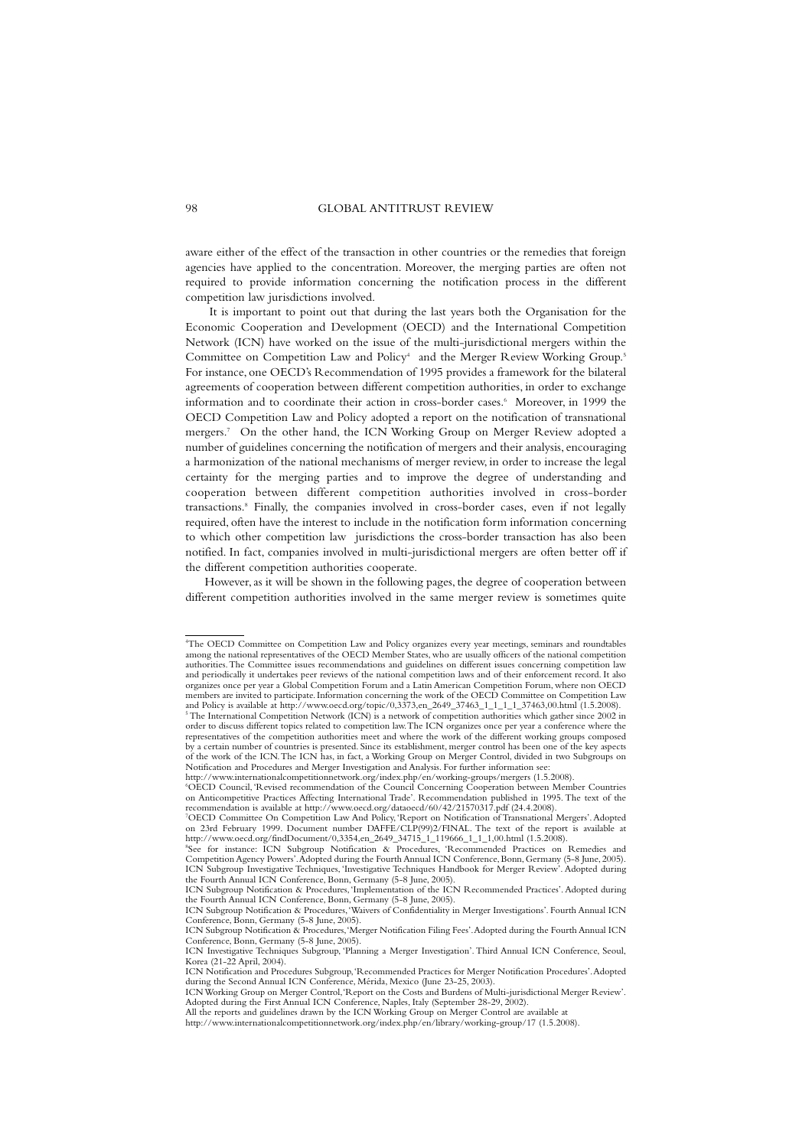aware either of the effect of the transaction in other countries or the remedies that foreign agencies have applied to the concentration. Moreover, the merging parties are often not required to provide information concerning the notification process in the different competition law jurisdictions involved.

It is important to point out that during the last years both the Organisation for the Economic Cooperation and Development (OECD) and the International Competition Network (ICN) have worked on the issue of the multi-jurisdictional mergers within the Committee on Competition Law and Policy<sup>4</sup> and the Merger Review Working Group.<sup>5</sup> For instance, one OECD's Recommendation of 1995 provides a framework for the bilateral agreements of cooperation between different competition authorities, in order to exchange information and to coordinate their action in cross-border cases.<sup>6</sup> Moreover, in 1999 the OECD Competition Law and Policy adopted a report on the notification of transnational mergers.7 On the other hand, the ICN Working Group on Merger Review adopted a number of guidelines concerning the notification of mergers and their analysis, encouraging a harmonization of the national mechanisms of merger review, in order to increase the legal certainty for the merging parties and to improve the degree of understanding and cooperation between different competition authorities involved in cross-border transactions.8 Finally, the companies involved in cross-border cases, even if not legally required, often have the interest to include in the notification form information concerning to which other competition law jurisdictions the cross-border transaction has also been notified. In fact, companies involved in multi-jurisdictional mergers are often better off if the different competition authorities cooperate.

However, as it will be shown in the following pages, the degree of cooperation between different competition authorities involved in the same merger review is sometimes quite

<sup>4</sup> The OECD Committee on Competition Law and Policy organizes every year meetings, seminars and roundtables among the national representatives of the OECD Member States, who are usually officers of the national competition authorities.The Committee issues recommendations and guidelines on different issues concerning competition law and periodically it undertakes peer reviews of the national competition laws and of their enforcement record. It also organizes once per year a Global Competition Forum and a Latin American Competition Forum, where non OECD members are invited to participate.Information concerning the work of the OECD Committee on Competition Law and Policy is available at http://www.oecd.org/topic/0,3373,en\_2649\_37463\_1\_1\_1\_1\_37463,00.html (1.5.2008).<br><sup>5</sup> The International Competition Network (ICN) is a network of competition authorities which gather since 2002 in order to discuss different topics related to competition law.The ICN organizes once per year a conference where the representatives of the competition authorities meet and where the work of the different working groups composed by a certain number of countries is presented. Since its establishment, merger control has been one of the key aspects of the work of the ICN.The ICN has, in fact, a Working Group on Merger Control, divided in two Subgroups on Notification and Procedures and Merger Investigation and Analysis. For further information see:

http://www.internationalcompetitionnetwork.org/index.php/en/working-groups/mergers (1.5.2008).

<sup>6</sup> OECD Council, 'Revised recommendation of the Council Concerning Cooperation between Member Countries on Anticompetitive Practices Affecting International Trade'. Recommendation published in 1995. The text of the recommendation is available at http://www.oecd.org/dataoecd/60/42/21570317.pdf (24.4.2008).

<sup>&</sup>lt;sup>7</sup>OECD Committee On Competition Law And Policy, 'Report on Notification of Transnational Mergers'. Adopted<br>on 23rd February 1999. Document number DAFFE/CLP(99)2/FINAL. The text of the report is available at<br>http://www.oec

<sup>8</sup> See for instance: ICN Subgroup Notification & Procedures, 'Recommended Practices on Remedies and Competition Agency Powers'.Adopted during the Fourth Annual ICN Conference, Bonn, Germany (5-8 June, 2005). ICN Subgroup Investigative Techniques, 'Investigative Techniques Handbook for Merger Review'. Adopted during

the Fourth Annual ICN Conference, Bonn, Germany (5-8 June, 2005).<br>ICN Subgroup Notification & Procedures, 'Implementation of the ICN Recommended Practices'. Adopted during<br>the Fourth Annual ICN Conference, Bonn, Germany (5

ICN Subgroup Notification & Procedures,'Waivers of Confidentiality in Merger Investigations'. Fourth Annual ICN Conference, Bonn, Germany (5-8 June, 2005). ICN Subgroup Notification & Procedures,'Merger Notification Filing Fees'.Adopted during the Fourth Annual ICN

Conference, Bonn, Germany (5-8 June, 2005).

ICN Investigative Techniques Subgroup, 'Planning a Merger Investigation'. Third Annual ICN Conference, Seoul, Korea (21-22 April, 2004). ICN Notification and Procedures Subgroup,'Recommended Practices for Merger Notification Procedures'.Adopted

during the Second Annual ICN Conference, Mérida, Mexico (June 23-25, 2003). ICN Working Group on Merger Control,'Report on the Costs and Burdens of Multi-jurisdictional Merger Review'.

Adopted during the First Annual ICN Conference, Naples, Italy (September 28-29, 2002).

All the reports and guidelines drawn by the ICN Working Group on Merger Control are available at http://www.internationalcompetitionnetwork.org/index.php/en/library/working-group/17 (1.5.2008).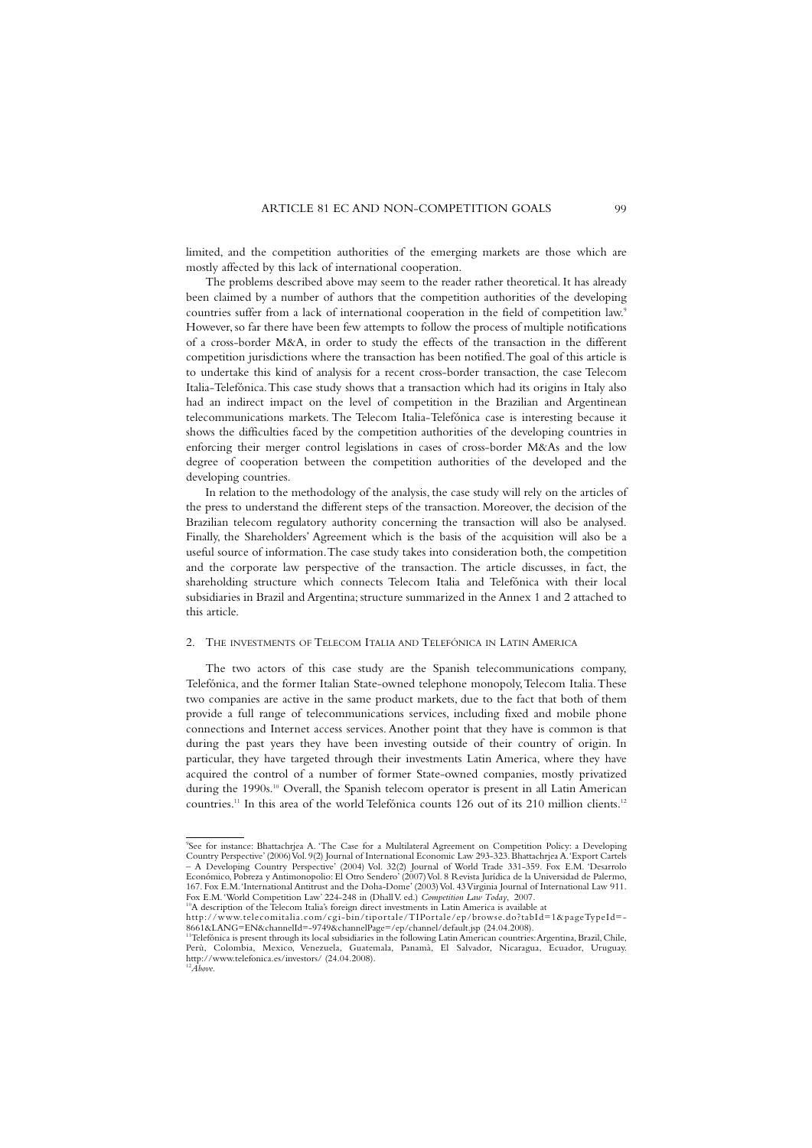limited, and the competition authorities of the emerging markets are those which are mostly affected by this lack of international cooperation.

The problems described above may seem to the reader rather theoretical. It has already been claimed by a number of authors that the competition authorities of the developing countries suffer from a lack of international cooperation in the field of competition law.9 However, so far there have been few attempts to follow the process of multiple notifications of a cross-border M&A, in order to study the effects of the transaction in the different competition jurisdictions where the transaction has been notified.The goal of this article is to undertake this kind of analysis for a recent cross-border transaction, the case Telecom Italia-Telefónica.This case study shows that a transaction which had its origins in Italy also had an indirect impact on the level of competition in the Brazilian and Argentinean telecommunications markets. The Telecom Italia-Telefónica case is interesting because it shows the difficulties faced by the competition authorities of the developing countries in enforcing their merger control legislations in cases of cross-border M&As and the low degree of cooperation between the competition authorities of the developed and the developing countries.

In relation to the methodology of the analysis, the case study will rely on the articles of the press to understand the different steps of the transaction. Moreover, the decision of the Brazilian telecom regulatory authority concerning the transaction will also be analysed. Finally, the Shareholders' Agreement which is the basis of the acquisition will also be a useful source of information.The case study takes into consideration both, the competition and the corporate law perspective of the transaction. The article discusses, in fact, the shareholding structure which connects Telecom Italia and Telefónica with their local subsidiaries in Brazil and Argentina; structure summarized in the Annex 1 and 2 attached to this article.

#### 2. THE INVESTMENTS OF TELECOM ITALIA AND TELEFÓNICA IN LATIN AMERICA

The two actors of this case study are the Spanish telecommunications company, Telefónica, and the former Italian State-owned telephone monopoly,Telecom Italia.These two companies are active in the same product markets, due to the fact that both of them provide a full range of telecommunications services, including fixed and mobile phone connections and Internet access services. Another point that they have is common is that during the past years they have been investing outside of their country of origin. In particular, they have targeted through their investments Latin America, where they have acquired the control of a number of former State-owned companies, mostly privatized during the 1990s.<sup>10</sup> Overall, the Spanish telecom operator is present in all Latin American countries.<sup>11</sup> In this area of the world Telefónica counts 126 out of its 210 million clients.<sup>12</sup>

<sup>9</sup> See for instance: Bhattachrjea A. 'The Case for a Multilateral Agreement on Competition Policy: a Developing Country Perspective' (2006) Vol. 9(2) Journal of International Economic Law 293-323. Bhattachrjea A.'Export Cartels – A Developing Country Perspective' (2004) Vol. 32(2) Journal of World Trade 331-359. Fox E.M. 'Desarrolo Económico, Pobreza y Antimonopolio: El Otro Sendero' (2007) Vol. 8 Revista Jurídica de la Universidad de Palermo, 167. Fox E.M.'International Antitrust and the Doha-Dome' (2003) Vol. 43 Virginia Journal of International Law 911. Fox E.M.'World Competition Law' 224-248 in (Dhall V. ed.) *Competition Law Today*, 2007. 10A description of the Telecom Italia's foreign direct investments in Latin America is available at

http://www.telecomitalia.com/cgi-bin/tiportale/TIPortale/ep/browse.do?tabId=1&pageTypeId=-

<sup>8661&</sup>amp;LANG=EN&channelId=-9749&channelPage=/ep/channel/default.jsp (24.04.2008).<br><sup>11</sup>Telefónica is present through its local subsidiaries in the following Latin American countries: Argentina, Brazil, Chile,<br>Perù, Colombia, http://www.telefonica.es/investors/ (24.04.2008). <sup>12</sup>*Above*.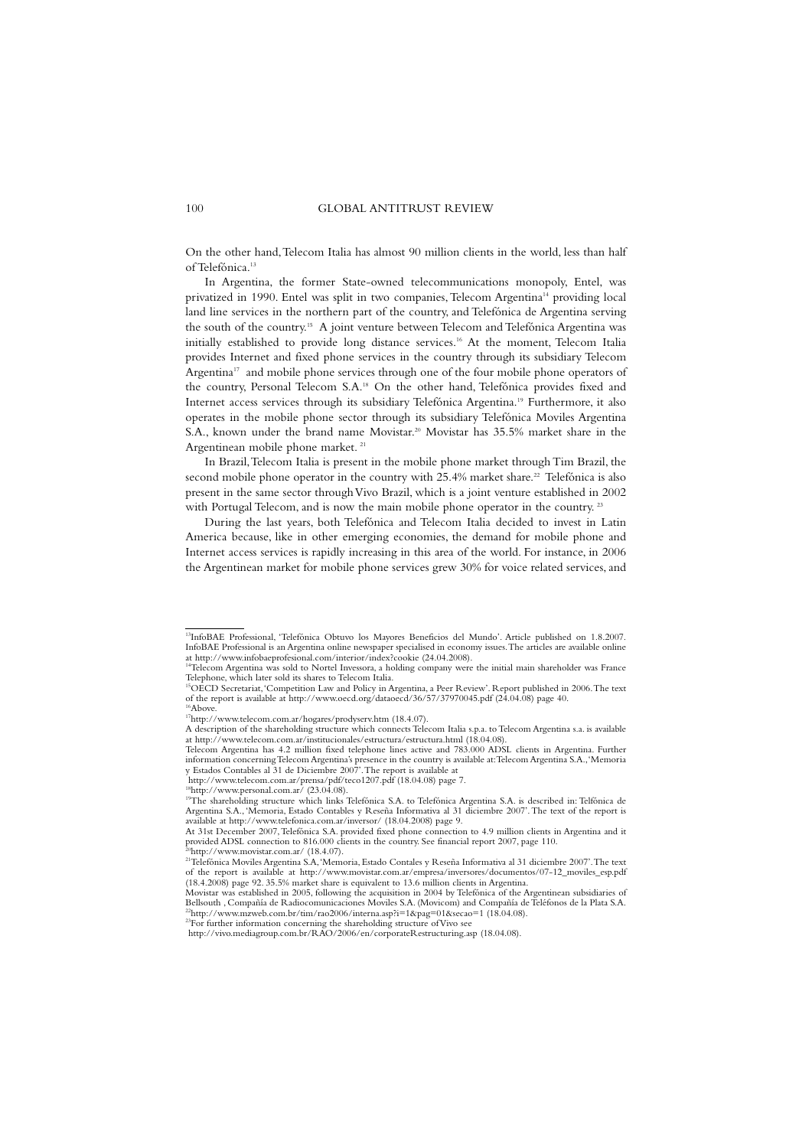On the other hand,Telecom Italia has almost 90 million clients in the world, less than half of Telefónica.13

In Argentina, the former State-owned telecommunications monopoly, Entel, was privatized in 1990. Entel was split in two companies,Telecom Argentina14 providing local land line services in the northern part of the country, and Telefónica de Argentina serving the south of the country.15 A joint venture between Telecom and Telefónica Argentina was initially established to provide long distance services.<sup>16</sup> At the moment, Telecom Italia provides Internet and fixed phone services in the country through its subsidiary Telecom Argentina<sup>17</sup> and mobile phone services through one of the four mobile phone operators of the country, Personal Telecom S.A.18 On the other hand, Telefónica provides fixed and Internet access services through its subsidiary Telefónica Argentina.19 Furthermore, it also operates in the mobile phone sector through its subsidiary Telefónica Moviles Argentina S.A., known under the brand name Movistar.<sup>20</sup> Movistar has 35.5% market share in the Argentinean mobile phone market. <sup>21</sup>

In Brazil,Telecom Italia is present in the mobile phone market through Tim Brazil, the second mobile phone operator in the country with 25.4% market share.<sup>22</sup> Telefónica is also present in the same sector through Vivo Brazil, which is a joint venture established in 2002 with Portugal Telecom, and is now the main mobile phone operator in the country.<sup>23</sup>

During the last years, both Telefónica and Telecom Italia decided to invest in Latin America because, like in other emerging economies, the demand for mobile phone and Internet access services is rapidly increasing in this area of the world. For instance, in 2006 the Argentinean market for mobile phone services grew 30% for voice related services, and

Telecom Argentina has 4.2 million fixed telephone lines active and 783.000 ADSL clients in Argentina. Further information concerning Telecom Argentina's presence in the country is available at:Telecom Argentina S.A.,'Memoria y Estados Contables al 31 de Diciembre 2007'.The report is available at

http://www.telecom.com.ar/prensa/pdf/teco1207.pdf (18.04.08) page 7.

<sup>13</sup>InfoBAE Professional, 'Telefónica Obtuvo los Mayores Beneficios del Mundo'. Article published on 1.8.2007. InfoBAE Professional is an Argentina online newspaper specialised in economy issues.The articles are available online

at http://www.infobaeprofesional.com/interior/index?cookie (24.04.2008).<br><sup>14</sup>Telecom Argentina was sold to Nortel Invessora, a holding company were the initial main shareholder was France Telephone, which later sold its shares to Telecom Italia.

<sup>15</sup>OECD Secretariat,'Competition Law and Policy in Argentina, a Peer Review'. Report published in 2006.The text of the report is available at http://www.oecd.org/dataoecd/36/57/37970045.pdf (24.04.08) page 40.  $16$ Above

<sup>17</sup>http://www.telecom.com.ar/hogares/prodyserv.htm (18.4.07).

A description of the shareholding structure which connects Telecom Italia s.p.a. to Telecom Argentina s.a. is available at http://www.telecom.com.ar/institucionales/estructura/estructura.html (18.04.08).

<sup>&</sup>lt;sup>18</sup>http://www.personal.com.ar/ (23.04.08).<br><sup>19</sup>The shareholding structure which links Telefónica S.A. to Telefónica Argentina S.A. is described in: Telfónica de Argentina S.A., 'Memoria, Estado Contables y Reseña Informativa al 31 diciembre 2007'.The text of the report is available at http://www.telefonica.com.ar/inversor/ (18.04.2008) page 9. At 31st December 2007,Telefónica S.A. provided fixed phone connection to 4.9 million clients in Argentina and it

provided ADSL connection to 816.000 clients in the country. See financial report 2007, page 110.

<sup>&</sup>lt;sup>20</sup>http://www.movistar.com.ar/ (18.4.07).<br><sup>21</sup>Telefónica Moviles Argentina S.A,'Memoria, Estado Contales y Reseña Informativa al 31 diciembre 2007'.The text of the report is available at http://www.movistar.com.ar/empresa/inversores/documentos/07-12\_moviles\_esp.pdf (18.4.2008) page 92. 35.5% market share is equivalent to 13.6 million clients in Argentina. Movistar was established in 2005, following the acquisition in 2004 by Telefónica of the Argentinean subsidiaries of

Bellsouth , Compañía de Radiocomunicaciones Moviles S.A. (Movicom) and Compañía de Teléfonos de la Plata S.A.  $^{22}$ http://www.mzweb.com.br/tim/rao2006/interna.asp?i=1&pag=01&secao=1 (18.04.08). <sup>23</sup>For further information concerning the shareholding structure of Vivo see

http://vivo.mediagroup.com.br/RAO/2006/en/corporateRestructuring.asp (18.04.08).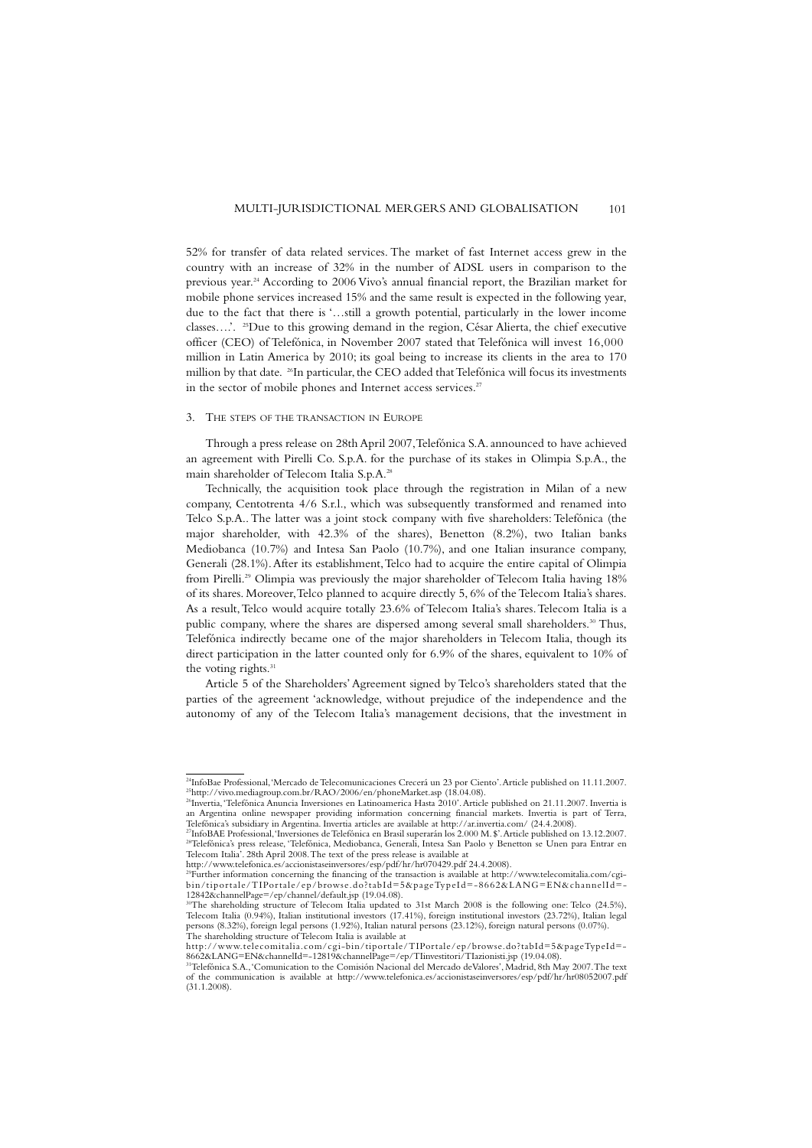52% for transfer of data related services. The market of fast Internet access grew in the country with an increase of 32% in the number of ADSL users in comparison to the previous year.24 According to 2006 Vivo's annual financial report, the Brazilian market for mobile phone services increased 15% and the same result is expected in the following year, due to the fact that there is '…still a growth potential, particularly in the lower income classes….'. 25Due to this growing demand in the region, César Alierta, the chief executive officer (CEO) of Telefónica, in November 2007 stated that Telefónica will invest 16,000 million in Latin America by 2010; its goal being to increase its clients in the area to 170 million by that date. <sup>26</sup> In particular, the CEO added that Telefónica will focus its investments in the sector of mobile phones and Internet access services.<sup>27</sup>

#### 3. THE STEPS OF THE TRANSACTION IN EUROPE

Through a press release on 28th April 2007,Telefónica S.A. announced to have achieved an agreement with Pirelli Co. S.p.A. for the purchase of its stakes in Olimpia S.p.A., the main shareholder of Telecom Italia S.p.A.<sup>28</sup>

Technically, the acquisition took place through the registration in Milan of a new company, Centotrenta 4/6 S.r.l., which was subsequently transformed and renamed into Telco S.p.A..The latter was a joint stock company with five shareholders: Telefónica (the major shareholder, with 42.3% of the shares), Benetton (8.2%), two Italian banks Mediobanca (10.7%) and Intesa San Paolo (10.7%), and one Italian insurance company, Generali (28.1%).After its establishment,Telco had to acquire the entire capital of Olimpia from Pirelli.<sup>29</sup> Olimpia was previously the major shareholder of Telecom Italia having 18% of its shares. Moreover,Telco planned to acquire directly 5, 6% of the Telecom Italia's shares. As a result,Telco would acquire totally 23.6% of Telecom Italia's shares.Telecom Italia is a public company, where the shares are dispersed among several small shareholders.<sup>30</sup> Thus, Telefónica indirectly became one of the major shareholders in Telecom Italia, though its direct participation in the latter counted only for 6.9% of the shares, equivalent to 10% of the voting rights.<sup>31</sup>

Article 5 of the Shareholders' Agreement signed by Telco's shareholders stated that the parties of the agreement 'acknowledge, without prejudice of the independence and the autonomy of any of the Telecom Italia's management decisions, that the investment in

<sup>&</sup>lt;sup>24</sup>InfoBae Professional, 'Mercado de Telecomunicaciones Crecerá un 23 por Ciento'. Article published on 11.11.2007. <sup>25</sup>http://vivo.mediagroup.com.br/RAO/2006/en/phoneMarket.asp (18.04.08).<br><sup>26</sup>Invertia, 'Telefónica Anuncia Inversiones en Latinoamerica Hasta 2010'. Article published on 21.11.2007. Invertia is

an Argentina online newspaper providing information concerning financial markets. Invertia is part of Terra, Telefónica's subsidiary in Argentina. Invertia articles are available at http://ar.invertia.com/ (24.4.2008).<br><sup>27</sup>InfoBAE Professional,'Inversiones de Telefónica en Brasil superarán los 2.000 M. \$'.Article published on 13.

<sup>&</sup>lt;sup>28</sup>Telefónica's press release, 'Telefónica, Mediobanca, Generali, Intesa San Paolo y Benetton se Unen para Entrar en<br>Telecom Italia'. 28th April 2008. The text of the press release is available at

http://www.telefonica.es/accionistaseinversores/esp/pdf/hr/hr070429.pdf 24.4.2008).

<sup>29</sup>Further information concerning the financing of the transaction is available at http://www.telecomitalia.com/cgi-bin/tiportale/TIPortale/ep/browse.do?tabId=5&pageTypeId=-8662&LANG=EN&channelId=- 12842&channelPage=/ep/channel/default.jsp (19.04.08).

<sup>&</sup>lt;sup>30</sup>The shareholding structure of Telecom Italia updated to 31st March 2008 is the following one: Telco (24.5%),<br>Telecom Italia (0.94%), Italian institutional investors (17.41%), foreign institutional investors (23.72%), I persons (8.32%), foreign legal persons (1.92%), Italian natural persons (23.12%), foreign natural persons (0.07%). The shareholding structure of Telecom Italia is available at

http://www.telecomitalia.com/cgi-bin/tiportale/TIPortale/ep/browse.do?tabId=5&pageTypeId=- 8662&LANG=EN&channelId=-12819&channelPage=/ep/TIinvestitori/TIazionisti.jsp (19.04.08).

<sup>31</sup>Telefónica S.A.,'Comunication to the Comisión Nacional del Mercado deValores', Madrid, 8th May 2007.The text of the communication is available at http://www.telefonica.es/accionistaseinversores/esp/pdf/hr/hr08052007.pdf (31.1.2008).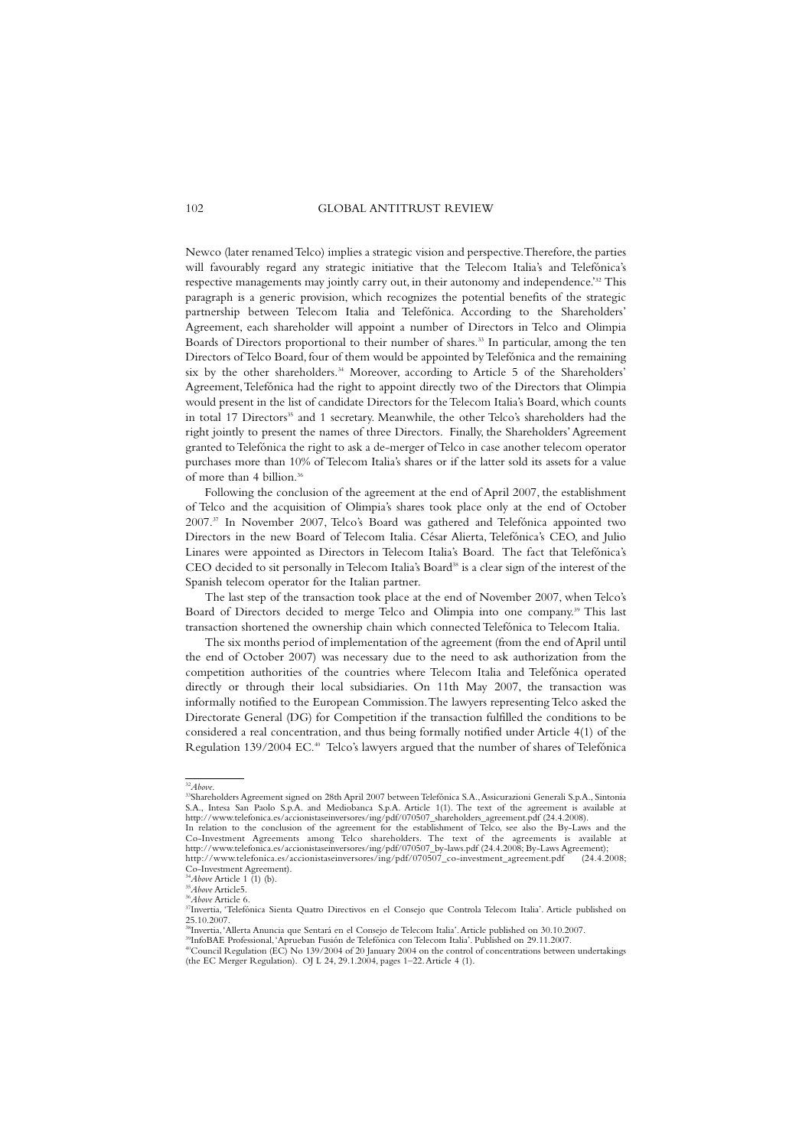Newco (later renamed Telco) implies a strategic vision and perspective.Therefore,the parties will favourably regard any strategic initiative that the Telecom Italia's and Telefónica's respective managements may jointly carry out, in their autonomy and independence.<sup>32</sup> This paragraph is a generic provision, which recognizes the potential benefits of the strategic partnership between Telecom Italia and Telefónica. According to the Shareholders' Agreement, each shareholder will appoint a number of Directors in Telco and Olimpia Boards of Directors proportional to their number of shares.<sup>33</sup> In particular, among the ten Directors of Telco Board, four of them would be appointed by Telefónica and the remaining six by the other shareholders.<sup>34</sup> Moreover, according to Article 5 of the Shareholders' Agreement,Telefónica had the right to appoint directly two of the Directors that Olimpia would present in the list of candidate Directors for the Telecom Italia's Board, which counts in total 17 Directors<sup>35</sup> and 1 secretary. Meanwhile, the other Telco's shareholders had the right jointly to present the names of three Directors. Finally, the Shareholders'Agreement granted to Telefónica the right to ask a de-merger of Telco in case another telecom operator purchases more than 10% of Telecom Italia's shares or if the latter sold its assets for a value of more than 4 billion.<sup>36</sup>

Following the conclusion of the agreement at the end of April 2007, the establishment of Telco and the acquisition of Olimpia's shares took place only at the end of October 2007.37 In November 2007, Telco's Board was gathered and Telefónica appointed two Directors in the new Board of Telecom Italia. César Alierta, Telefónica's CEO, and Julio Linares were appointed as Directors in Telecom Italia's Board. The fact that Telefónica's CEO decided to sit personally in Telecom Italia's Board<sup>38</sup> is a clear sign of the interest of the Spanish telecom operator for the Italian partner.

The last step of the transaction took place at the end of November 2007, when Telco's Board of Directors decided to merge Telco and Olimpia into one company.<sup>39</sup> This last transaction shortened the ownership chain which connected Telefónica to Telecom Italia.

The six months period of implementation of the agreement (from the end of April until the end of October 2007) was necessary due to the need to ask authorization from the competition authorities of the countries where Telecom Italia and Telefónica operated directly or through their local subsidiaries. On 11th May 2007, the transaction was informally notified to the European Commission.The lawyers representing Telco asked the Directorate General (DG) for Competition if the transaction fulfilled the conditions to be considered a real concentration, and thus being formally notified under Article 4(1) of the Regulation 139/2004 EC. <sup>40</sup> Telco's lawyers argued that the number of shares of Telefónica

<sup>32</sup>*Above*. 33Shareholders Agreement signed on 28th April 2007 between Telefónica S.A.,Assicurazioni Generali S.p.A., Sintonia S.A., Intesa San Paolo S.p.A. and Mediobanca S.p.A. Article 1(1). The text of the agreement is available at http://www.telefonica.es/accionistaseinversores/ing/pdf/070507\_shareholders\_agreement.pdf (24.4.2008).

In relation to the conclusion of the agreement for the establishment of Telco, see also the By-Laws and the Co-Investment Agreements among Telco shareholders. The text of the agreements is available at http://www.telefonica.es/accionistaseinversores/ing/pdf/070507\_by-laws.pdf (24.4.2008; By-Laws Agreement); http://www.telefonica.es/accionistaseinversores/ing/pdf/070507\_co-investment\_agreement.pdf

Co-Investment Agreement).<br>
<sup>34</sup>*Above* Article 1 (1) (b).

<sup>&</sup>lt;sup>34</sup>*Above* Article 1 (1) (b).<br><sup>35</sup>*Above* Article5.<br><sup>34</sup>A*bove* Article 6.<br><sup>37</sup>Invertia, 'Telefónica Sienta Quatro Directivos en el Consejo que Controla Telecom Italia'. Article published on<br>25.10.2007.

<sup>38</sup>Invertia,'Allerta Anuncia que Sentará en el Consejo de Telecom Italia'.Article published on 30.10.2007. 39InfoBAE Professional,'Aprueban Fusión de Telefónica con Telecom Italia'. Published on 29.11.2007.

<sup>&</sup>lt;sup>40</sup>Council Regulation (EC) No 139/2004 of 20 January 2004 on the control of concentrations between undertakings (the EC Merger Regulation). OJ L 24, 29.1.2004, pages 1–22.Article 4 (1).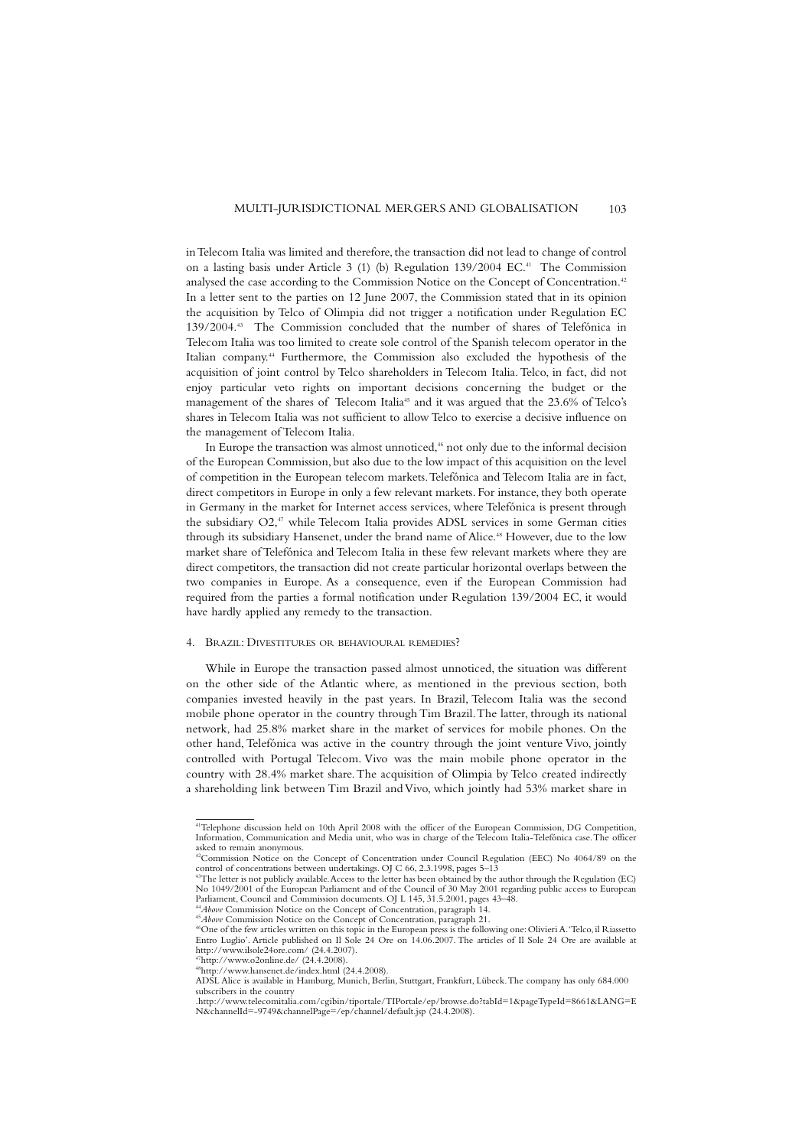in Telecom Italia was limited and therefore, the transaction did not lead to change of control on a lasting basis under Article 3 (1) (b) Regulation 139/2004 EC.<sup>41</sup> The Commission analysed the case according to the Commission Notice on the Concept of Concentration.<sup>42</sup> In a letter sent to the parties on 12 June 2007, the Commission stated that in its opinion the acquisition by Telco of Olimpia did not trigger a notification under Regulation EC 139/2004.43 The Commission concluded that the number of shares of Telefónica in Telecom Italia was too limited to create sole control of the Spanish telecom operator in the Italian company.44 Furthermore, the Commission also excluded the hypothesis of the acquisition of joint control by Telco shareholders in Telecom Italia. Telco, in fact, did not enjoy particular veto rights on important decisions concerning the budget or the management of the shares of Telecom Italia<sup>45</sup> and it was argued that the 23.6% of Telco's shares in Telecom Italia was not sufficient to allow Telco to exercise a decisive influence on the management of Telecom Italia.

In Europe the transaction was almost unnoticed,<sup>46</sup> not only due to the informal decision of the European Commission, but also due to the low impact of this acquisition on the level of competition in the European telecom markets.Telefónica and Telecom Italia are in fact, direct competitors in Europe in only a few relevant markets. For instance, they both operate in Germany in the market for Internet access services, where Telefónica is present through the subsidiary O2,<sup>47</sup> while Telecom Italia provides ADSL services in some German cities through its subsidiary Hansenet, under the brand name of Alice.<sup>48</sup> However, due to the low market share of Telefónica and Telecom Italia in these few relevant markets where they are direct competitors, the transaction did not create particular horizontal overlaps between the two companies in Europe. As a consequence, even if the European Commission had required from the parties a formal notification under Regulation 139/2004 EC, it would have hardly applied any remedy to the transaction.

#### 4. BRAZIL: DIVESTITURES OR BEHAVIOURAL REMEDIES?

While in Europe the transaction passed almost unnoticed, the situation was different on the other side of the Atlantic where, as mentioned in the previous section, both companies invested heavily in the past years. In Brazil, Telecom Italia was the second mobile phone operator in the country through Tim Brazil.The latter, through its national network, had 25.8% market share in the market of services for mobile phones. On the other hand,Telefónica was active in the country through the joint venture Vivo, jointly controlled with Portugal Telecom. Vivo was the main mobile phone operator in the country with 28.4% market share.The acquisition of Olimpia by Telco created indirectly a shareholding link between Tim Brazil and Vivo, which jointly had 53% market share in

<sup>41</sup>Telephone discussion held on 10th April 2008 with the officer of the European Commission, DG Competition, Information, Communication and Media unit, who was in charge of the Telecom Italia-Telefónica case.The officer asked to remain anonymous.

 $^{42}$ Commission Notice on the Concept of Concentration under Council Regulation (EEC) No 4064/89 on the control of concentrations between undertakings. OJ C 66, 2.3.1998, pages 5–13<br> $^{43}$ The letter is not publicly avail

No 1049/2001 of the European Parliament and of the Council of 30 May 2001 regarding public access to European Parliament, Council and Commission documents. OJ L 145, 31.5.2001, pages 43–48.

*<sup>&</sup>lt;sup>44</sup>Above* Commission Notice on the Concept of Concentration, paragraph 14.<br><sup>45</sup>*Above* Commission Notice on the Concept of Concentration, paragraph 21.<br><sup>46</sup>One of the few articles written on this topic in the European pr

Entro Luglio'. Article published on Il Sole 24 Ore on 14.06.2007. The articles of Il Sole 24 Ore are available at http://www.ilsole24ore.com/ (24.4.2007).

 $\frac{17}{7}$ http://www.o2online.de/ (24.4.2008).

<sup>48</sup>http://www.hansenet.de/index.html (24.4.2008).

ADSL Alice is available in Hamburg, Munich, Berlin, Stuttgart, Frankfurt, Lübeck.The company has only 684.000 subscribers in the country

<sup>.</sup>http://www.telecomitalia.com/cgibin/tiportale/TIPortale/ep/browse.do?tabId=1&pageTypeId=8661&LANG=E N&channelId=-9749&channelPage=/ep/channel/default.jsp (24.4.2008).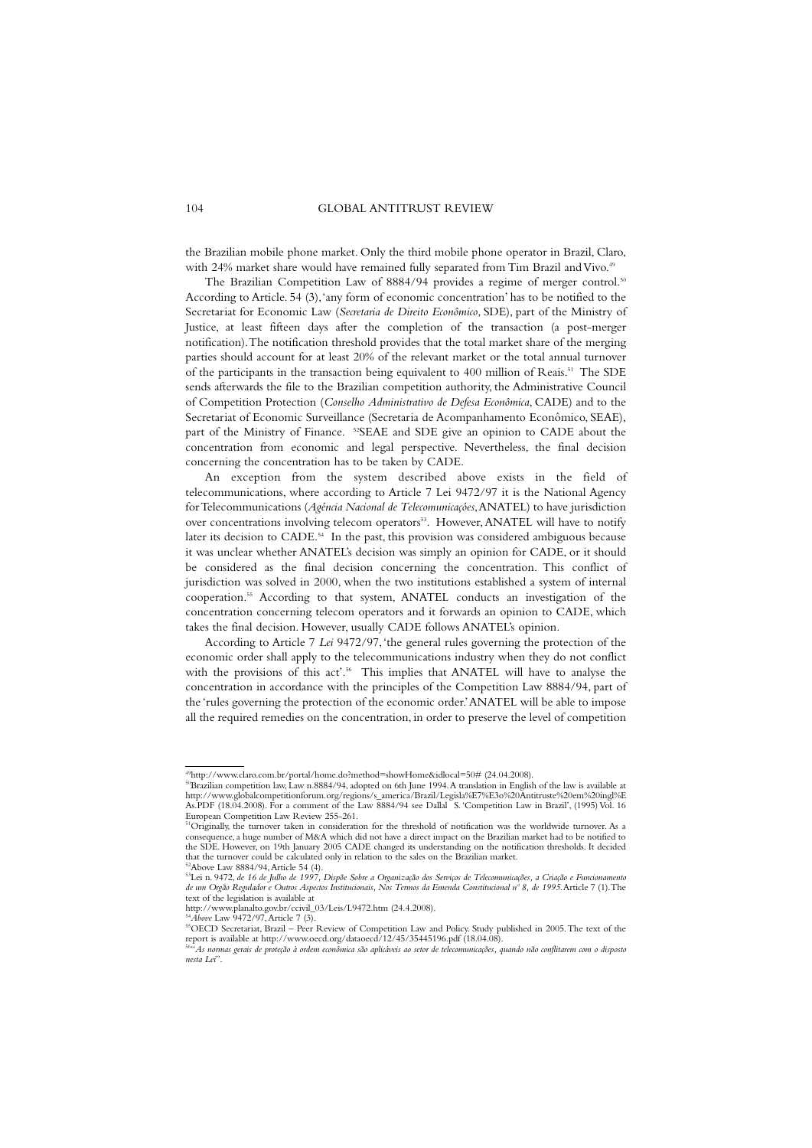the Brazilian mobile phone market. Only the third mobile phone operator in Brazil, Claro, with 24% market share would have remained fully separated from Tim Brazil and Vivo.<sup>4</sup>

The Brazilian Competition Law of 8884/94 provides a regime of merger control.<sup>50</sup> According to Article. 54 (3),'any form of economic concentration' has to be notified to the Secretariat for Economic Law (*Secretaria de Direito Econômico*, SDE), part of the Ministry of Justice, at least fifteen days after the completion of the transaction (a post-merger notification).The notification threshold provides that the total market share of the merging parties should account for at least 20% of the relevant market or the total annual turnover of the participants in the transaction being equivalent to 400 million of Reais.<sup>51</sup> The SDE sends afterwards the file to the Brazilian competition authority, the Administrative Council of Competition Protection (*Conselho Administrativo de Defesa Econômica*, CADE) and to the Secretariat of Economic Surveillance (Secretaria de Acompanhamento Econômico, SEAE), part of the Ministry of Finance. 52SEAE and SDE give an opinion to CADE about the concentration from economic and legal perspective. Nevertheless, the final decision concerning the concentration has to be taken by CADE.

An exception from the system described above exists in the field of telecommunications, where according to Article 7 Lei 9472/97 it is the National Agency for Telecommunications (*Agéncia Nacional de Telecomunicaçóes*,ANATEL) to have jurisdiction over concentrations involving telecom operators<sup>53</sup>. However, ANATEL will have to notify later its decision to CADE.<sup>54</sup> In the past, this provision was considered ambiguous because it was unclear whether ANATEL's decision was simply an opinion for CADE, or it should be considered as the final decision concerning the concentration. This conflict of jurisdiction was solved in 2000, when the two institutions established a system of internal cooperation.55 According to that system, ANATEL conducts an investigation of the concentration concerning telecom operators and it forwards an opinion to CADE, which takes the final decision. However, usually CADE follows ANATEL's opinion.

According to Article 7 *Lei* 9472/97,'the general rules governing the protection of the economic order shall apply to the telecommunications industry when they do not conflict with the provisions of this act'.<sup>56</sup> This implies that ANATEL will have to analyse the concentration in accordance with the principles of the Competition Law 8884/94, part of the 'rules governing the protection of the economic order.'ANATEL will be able to impose all the required remedies on the concentration, in order to preserve the level of competition

<sup>49</sup>http://www.claro.com.br/portal/home.do?method=showHome&idlocal=50# (24.04.2008). 50Brazilian competition law, Law n.8884/94, adopted on 6th June 1994.A translation in English of the law is available at http://www.globalcompetitionforum.org/regions/s\_america/Brazil/Legisla%E7%E3o%20Antitruste%20em%20ingl%E As.PDF (18.04.2008). For a comment of the Law 8884/94 see Dallal S. 'Competition Law in Brazil', (1995) Vol. 16 European Competition Law Review 255-261.

<sup>&</sup>lt;sup>51</sup>Originally, the turnover taken in consideration for the threshold of notification was the worldwide turnover. As a consequence, a huge number of M&A which did not have a direct impact on the Brazilian market had to be notified to<br>the SDE. However, on 19th January 2005 CADE changed its understanding on the notification thresholds. It de that the turnover could be calculated only in relation to the sales on the Brazilian market.

<sup>&</sup>lt;sup>52</sup>Above Law 8884/94, Article 54 (4).<br><sup>53</sup>Lei n. 9472, de 16 de Julho de 1997, Dispõe Sobre a Organização dos Serviços de Telecomunicações, a Criação e Funcionamento *de um Orgão Regulador e Outros Aspectos Institucionais, Nos Termos da Emenda Constitucional nº 8, de 1995*.Article 7 (1).The text of the legislation is available at

http://www.planalto.gov.br/ccivil\_03/Leis/L9472.htm (24.4.2008).

<sup>&</sup>lt;sup>54</sup>Above Law 9472/97, Article 7 (3).<br><sup>55</sup>OECD Secretariat, Brazil – Peer Review of Competition Law and Policy. Study published in 2005. The text of the<br>report is available at http://www.oecd.org/dataoecd/12/45/35445196.pd

*nesta Lei*".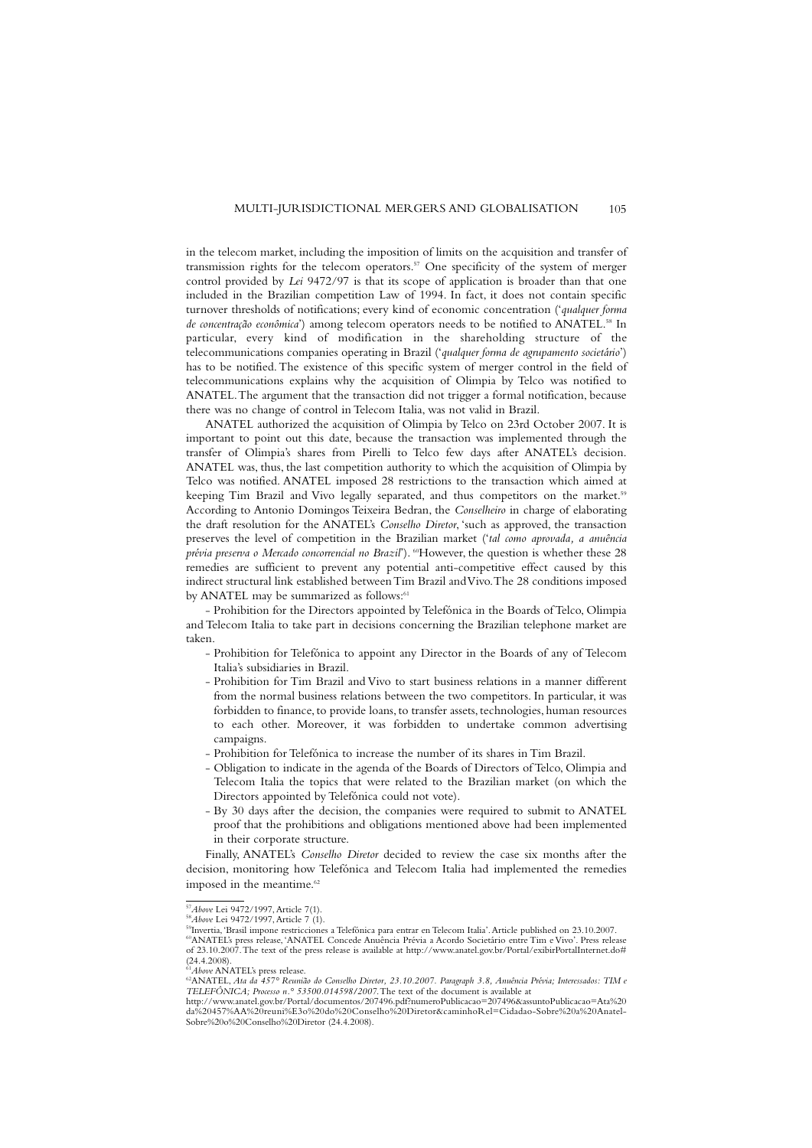in the telecom market, including the imposition of limits on the acquisition and transfer of transmission rights for the telecom operators.57 One specificity of the system of merger control provided by *Lei* 9472/97 is that its scope of application is broader than that one included in the Brazilian competition Law of 1994. In fact, it does not contain specific turnover thresholds of notifications; every kind of economic concentration ('*qualquer forma de concentração econômica*') among telecom operators needs to be notified to ANATEL.58 In particular, every kind of modification in the shareholding structure of the telecommunications companies operating in Brazil ('*qualquer forma de agrupamento societário*') has to be notified. The existence of this specific system of merger control in the field of telecommunications explains why the acquisition of Olimpia by Telco was notified to ANATEL.The argument that the transaction did not trigger a formal notification, because there was no change of control in Telecom Italia, was not valid in Brazil.

ANATEL authorized the acquisition of Olimpia by Telco on 23rd October 2007. It is important to point out this date, because the transaction was implemented through the transfer of Olimpia's shares from Pirelli to Telco few days after ANATEL's decision. ANATEL was, thus, the last competition authority to which the acquisition of Olimpia by Telco was notified. ANATEL imposed 28 restrictions to the transaction which aimed at keeping Tim Brazil and Vivo legally separated, and thus competitors on the market.<sup>59</sup> According to Antonio Domingos Teixeira Bedran, the *Conselheiro* in charge of elaborating the draft resolution for the ANATEL's *Conselho Diretor*, 'such as approved, the transaction preserves the level of competition in the Brazilian market ('*tal como aprovada, a anuência prévia preserva o Mercado concorrencial no Brazil*'). <sup>60</sup>However, the question is whether these 28 remedies are sufficient to prevent any potential anti-competitive effect caused by this indirect structural link established between Tim Brazil and Vivo.The 28 conditions imposed by ANATEL may be summarized as follows:<sup>61</sup>

- Prohibition for the Directors appointed by Telefónica in the Boards of Telco, Olimpia and Telecom Italia to take part in decisions concerning the Brazilian telephone market are taken.

- Prohibition for Telefónica to appoint any Director in the Boards of any of Telecom Italia's subsidiaries in Brazil.
- Prohibition for Tim Brazil and Vivo to start business relations in a manner different from the normal business relations between the two competitors. In particular, it was forbidden to finance, to provide loans, to transfer assets, technologies, human resources to each other. Moreover, it was forbidden to undertake common advertising campaigns.
- Prohibition for Telefónica to increase the number of its shares in Tim Brazil.
- Obligation to indicate in the agenda of the Boards of Directors of Telco, Olimpia and Telecom Italia the topics that were related to the Brazilian market (on which the Directors appointed by Telefónica could not vote).
- By 30 days after the decision, the companies were required to submit to ANATEL proof that the prohibitions and obligations mentioned above had been implemented in their corporate structure.

Finally, ANATEL's *Conselho Diretor* decided to review the case six months after the decision, monitoring how Telefónica and Telecom Italia had implemented the remedies imposed in the meantime.<sup>62</sup>

<sup>57</sup>*Above* Lei 9472/1997,Article 7(1). <sup>58</sup>*Above* Lei 9472/1997,Article 7 (1). 59Invertia,'Brasil impone restricciones a Telefónica para entrar en Telecom Italia'.Article published on 23.10.2007. 60ANATEL's press release,'ANATEL Concede Anuência Prévia a Acordo Societário entre Tim e Vivo'. Press release of 23.10.2007.The text of the press release is available at http://www.anatel.gov.br/Portal/exibirPortalInternet.do# (24.4.2008).<br><sup>61</sup>Above ANATEL's press release.

<sup>&</sup>lt;sup>62</sup>ANATEL, *Ata da 457° Reunião do Conselho Diretor, 23.10.2007. Paragraph 3.8, Anuência Prévia; Interessados: TIM e TELEFÔNICA; Processo n.° 53500.014598/2007*.The text of the document is available at

http://www.anatel.gov.br/Portal/documentos/207496.pdf?numeroPublicacao=207496&assuntoPublicacao=Ata%20 da%20457%AA%20reuni%E3o%20do%20Conselho%20Diretor&caminhoRel=Cidadao-Sobre%20a%20Anatel-Sobre%20o%20Conselho%20Diretor (24.4.2008).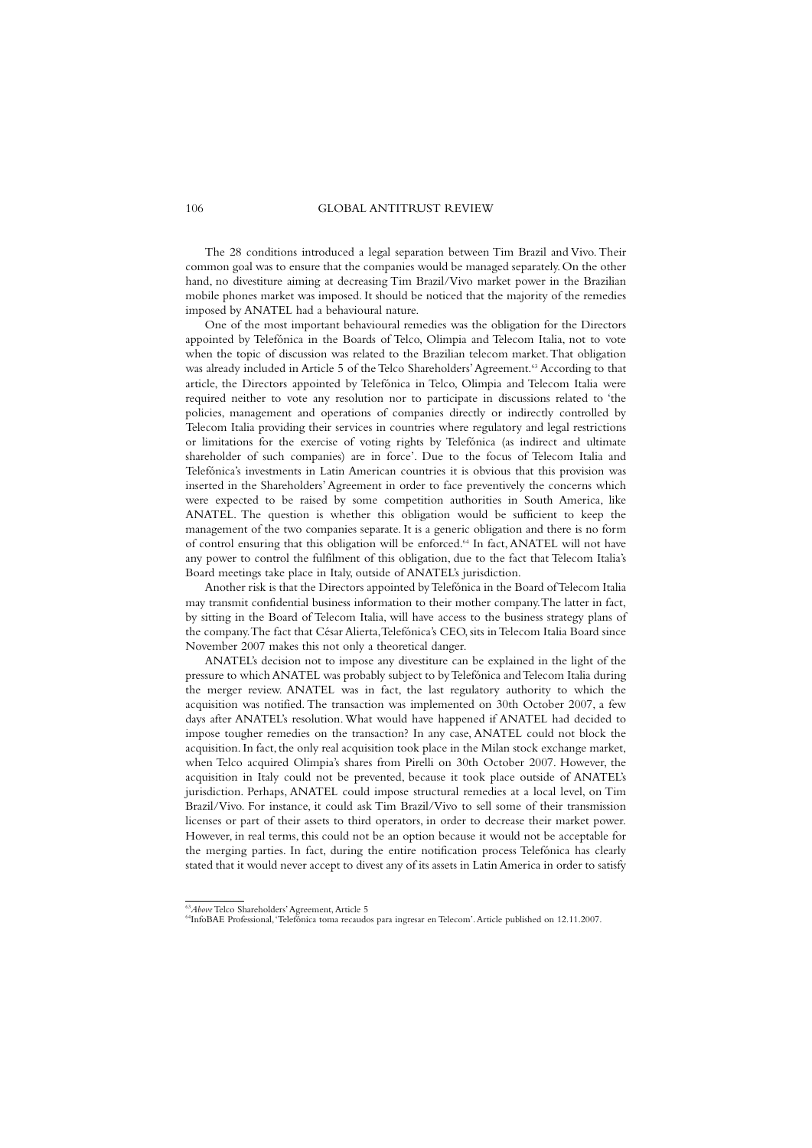The 28 conditions introduced a legal separation between Tim Brazil and Vivo. Their common goal was to ensure that the companies would be managed separately. On the other hand, no divestiture aiming at decreasing Tim Brazil/Vivo market power in the Brazilian mobile phones market was imposed. It should be noticed that the majority of the remedies imposed by ANATEL had a behavioural nature.

One of the most important behavioural remedies was the obligation for the Directors appointed by Telefónica in the Boards of Telco, Olimpia and Telecom Italia, not to vote when the topic of discussion was related to the Brazilian telecom market.That obligation was already included in Article 5 of the Telco Shareholders' Agreement.<sup>63</sup> According to that article, the Directors appointed by Telefónica in Telco, Olimpia and Telecom Italia were required neither to vote any resolution nor to participate in discussions related to 'the policies, management and operations of companies directly or indirectly controlled by Telecom Italia providing their services in countries where regulatory and legal restrictions or limitations for the exercise of voting rights by Telefónica (as indirect and ultimate shareholder of such companies) are in force'. Due to the focus of Telecom Italia and Telefónica's investments in Latin American countries it is obvious that this provision was inserted in the Shareholders' Agreement in order to face preventively the concerns which were expected to be raised by some competition authorities in South America, like ANATEL. The question is whether this obligation would be sufficient to keep the management of the two companies separate. It is a generic obligation and there is no form of control ensuring that this obligation will be enforced.<sup>64</sup> In fact, ANATEL will not have any power to control the fulfilment of this obligation, due to the fact that Telecom Italia's Board meetings take place in Italy, outside of ANATEL's jurisdiction.

Another risk is that the Directors appointed byTelefónica in the Board of Telecom Italia may transmit confidential business information to their mother company.The latter in fact, by sitting in the Board of Telecom Italia, will have access to the business strategy plans of the company.The fact that César Alierta,Telefónica's CEO, sits in Telecom Italia Board since November 2007 makes this not only a theoretical danger.

ANATEL's decision not to impose any divestiture can be explained in the light of the pressure to which ANATEL was probably subject to by Telefónica and Telecom Italia during the merger review. ANATEL was in fact, the last regulatory authority to which the acquisition was notified. The transaction was implemented on 30th October 2007, a few days after ANATEL's resolution.What would have happened if ANATEL had decided to impose tougher remedies on the transaction? In any case, ANATEL could not block the acquisition.In fact, the only real acquisition took place in the Milan stock exchange market, when Telco acquired Olimpia's shares from Pirelli on 30th October 2007. However, the acquisition in Italy could not be prevented, because it took place outside of ANATEL's jurisdiction. Perhaps, ANATEL could impose structural remedies at a local level, on Tim Brazil/Vivo. For instance, it could ask Tim Brazil/Vivo to sell some of their transmission licenses or part of their assets to third operators, in order to decrease their market power. However, in real terms, this could not be an option because it would not be acceptable for the merging parties. In fact, during the entire notification process Telefónica has clearly stated that it would never accept to divest any of its assets in Latin America in order to satisfy

<sup>&</sup>lt;sup>63</sup>*Above* Telco Shareholders' Agreement, Article 5<br><sup>64</sup>InfoBAE Professional, 'Telefónica toma recaudos para ingresar en Telecom'. Article published on 12.11.2007.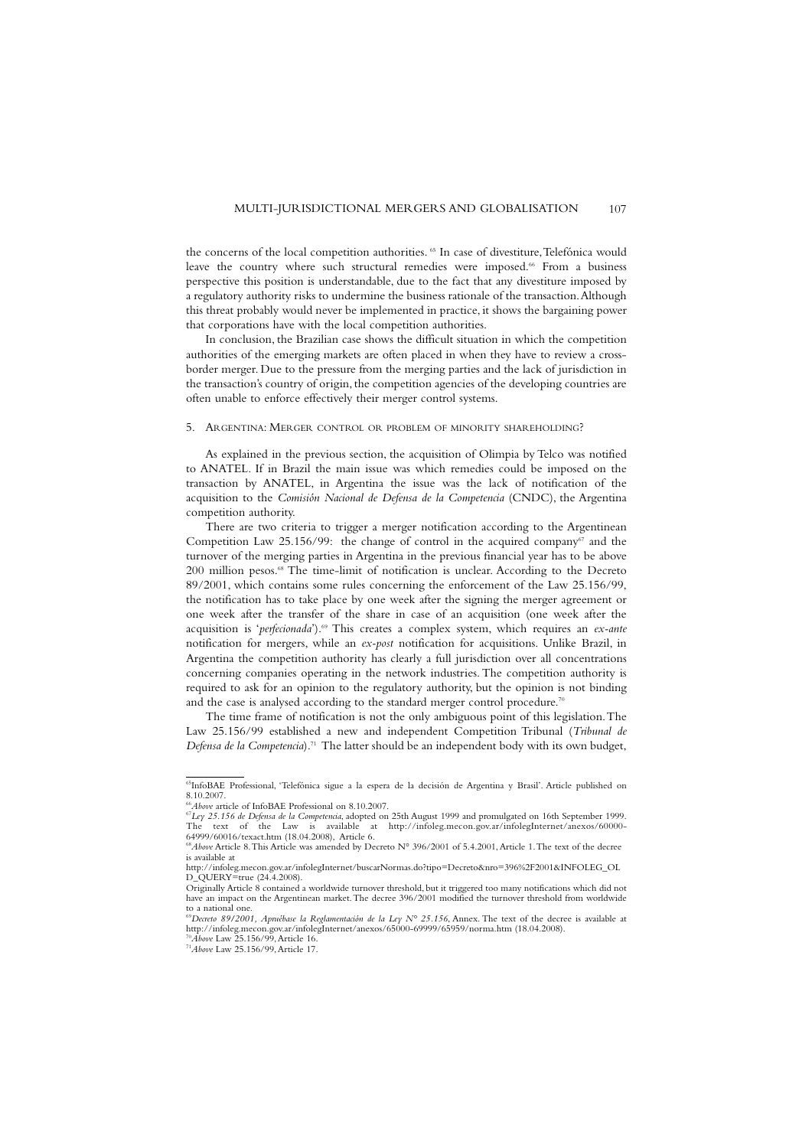the concerns of the local competition authorities. <sup>65</sup> In case of divestiture, Telefónica would leave the country where such structural remedies were imposed.<sup>66</sup> From a business perspective this position is understandable, due to the fact that any divestiture imposed by a regulatory authority risks to undermine the business rationale of the transaction.Although this threat probably would never be implemented in practice, it shows the bargaining power that corporations have with the local competition authorities.

In conclusion, the Brazilian case shows the difficult situation in which the competition authorities of the emerging markets are often placed in when they have to review a crossborder merger. Due to the pressure from the merging parties and the lack of jurisdiction in the transaction's country of origin, the competition agencies of the developing countries are often unable to enforce effectively their merger control systems.

#### 5. ARGENTINA: MERGER CONTROL OR PROBLEM OF MINORITY SHAREHOLDING?

As explained in the previous section, the acquisition of Olimpia by Telco was notified to ANATEL. If in Brazil the main issue was which remedies could be imposed on the transaction by ANATEL, in Argentina the issue was the lack of notification of the acquisition to the *Comisión Nacional de Defensa de la Competencia* (CNDC), the Argentina competition authority.

There are two criteria to trigger a merger notification according to the Argentinean Competition Law 25.156/99: the change of control in the acquired company $\sigma$  and the turnover of the merging parties in Argentina in the previous financial year has to be above 200 million pesos.<sup>68</sup> The time-limit of notification is unclear. According to the Decreto 89/2001, which contains some rules concerning the enforcement of the Law 25.156/99, the notification has to take place by one week after the signing the merger agreement or one week after the transfer of the share in case of an acquisition (one week after the acquisition is '*perfecionada*').69 This creates a complex system, which requires an *ex-ante* notification for mergers, while an *ex-post* notification for acquisitions. Unlike Brazil, in Argentina the competition authority has clearly a full jurisdiction over all concentrations concerning companies operating in the network industries. The competition authority is required to ask for an opinion to the regulatory authority, but the opinion is not binding and the case is analysed according to the standard merger control procedure.<sup>70</sup>

The time frame of notification is not the only ambiguous point of this legislation.The Law 25.156/99 established a new and independent Competition Tribunal (*Tribunal de Defensa de la Competencia*).71 The latter should be an independent body with its own budget,

<sup>65</sup>InfoBAE Professional, 'Telefónica sigue a la espera de la decisión de Argentina y Brasil'. Article published on 8.10.2007.<br> *<sup>66</sup>Above* article of InfoBAE Professional on 8.10.2007.

<sup>%</sup>Above article of InfoBAE Professional on 8.10.2007.<br><sup>67</sup>Ley 25.156 de Defensa de la Competencia, adopted on 25th August 1999 and promulgated on 16th September 1999.<br>The text of the Law is available at http://infoleg.mecon 64999/60016/texact.htm (18.04.2008), Article 6. <sup>68</sup>*Above* Article 8.This Article was amended by Decreto N° 396/2001 of 5.4.2001,Article 1.The text of the decree

is available at

http://infoleg.mecon.gov.ar/infolegInternet/buscarNormas.do?tipo=Decreto&nro=396%2F2001&INFOLEG\_OL D\_OUERY=true (24.4.2008).

Originally Article 8 contained a worldwide turnover threshold, but it triggered too many notifications which did not have an impact on the Argentinean market.The decree 396/2001 modified the turnover threshold from worldwide to a national one. <sup>69</sup>*Decreto 89/2001, Apruébase la Reglamentación de la Ley N° 25.156*, Annex. The text of the decree is available at

http://infoleg.mecon.gov.ar/infolegInternet/anexos/65000-69999/65959/norma.htm (18.04.2008).

<sup>70</sup>*Above* Law 25.156/99,Article 16. <sup>71</sup>*Above* Law 25.156/99,Article 17.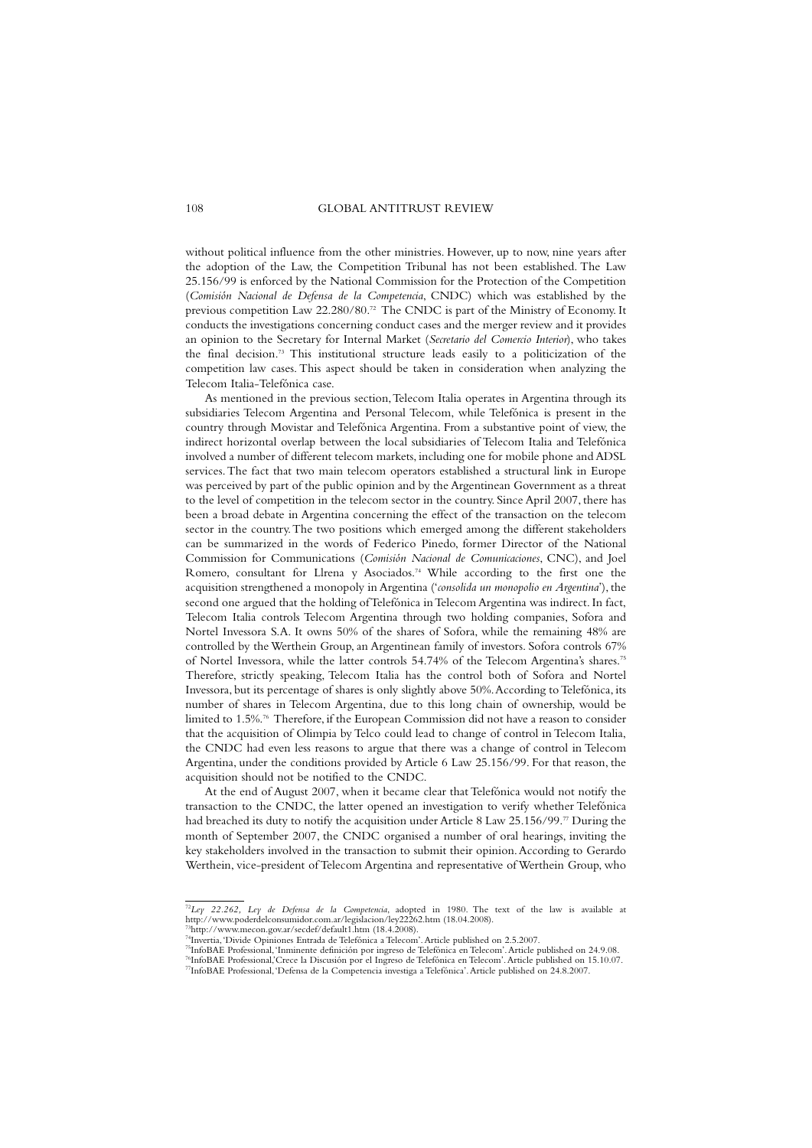without political influence from the other ministries. However, up to now, nine years after the adoption of the Law, the Competition Tribunal has not been established. The Law 25.156/99 is enforced by the National Commission for the Protection of the Competition (*Comisión Nacional de Defensa de la Competencia*, CNDC) which was established by the previous competition Law 22.280/80.72 The CNDC is part of the Ministry of Economy. It conducts the investigations concerning conduct cases and the merger review and it provides an opinion to the Secretary for Internal Market (*Secretario del Comercio Interior*), who takes the final decision.73 This institutional structure leads easily to a politicization of the competition law cases. This aspect should be taken in consideration when analyzing the Telecom Italia-Telefónica case.

As mentioned in the previous section,Telecom Italia operates in Argentina through its subsidiaries Telecom Argentina and Personal Telecom, while Telefónica is present in the country through Movistar and Telefónica Argentina. From a substantive point of view, the indirect horizontal overlap between the local subsidiaries of Telecom Italia and Telefónica involved a number of different telecom markets, including one for mobile phone and ADSL services.The fact that two main telecom operators established a structural link in Europe was perceived by part of the public opinion and by the Argentinean Government as a threat to the level of competition in the telecom sector in the country. Since April 2007, there has been a broad debate in Argentina concerning the effect of the transaction on the telecom sector in the country.The two positions which emerged among the different stakeholders can be summarized in the words of Federico Pinedo, former Director of the National Commission for Communications (*Comisión Nacional de Comunicaciones*, CNC), and Joel Romero, consultant for Llrena y Asociados.<sup>74</sup> While according to the first one the acquisition strengthened a monopoly in Argentina ('*consolida un monopolio en Argentina*'), the second one argued that the holding of Telefónica in Telecom Argentina was indirect. In fact, Telecom Italia controls Telecom Argentina through two holding companies, Sofora and Nortel Invessora S.A. It owns 50% of the shares of Sofora, while the remaining 48% are controlled by the Werthein Group, an Argentinean family of investors. Sofora controls 67% of Nortel Invessora, while the latter controls 54.74% of the Telecom Argentina's shares.75 Therefore, strictly speaking, Telecom Italia has the control both of Sofora and Nortel Invessora, but its percentage of shares is only slightly above 50%.According to Telefónica, its number of shares in Telecom Argentina, due to this long chain of ownership, would be limited to 1.5%.76 Therefore, if the European Commission did not have a reason to consider that the acquisition of Olimpia by Telco could lead to change of control in Telecom Italia, the CNDC had even less reasons to argue that there was a change of control in Telecom Argentina, under the conditions provided by Article 6 Law 25.156/99. For that reason, the acquisition should not be notified to the CNDC.

At the end of August 2007, when it became clear that Telefónica would not notify the transaction to the CNDC, the latter opened an investigation to verify whether Telefónica had breached its duty to notify the acquisition under Article 8 Law 25.156/99.77 During the month of September 2007, the CNDC organised a number of oral hearings, inviting the key stakeholders involved in the transaction to submit their opinion.According to Gerardo Werthein, vice-president of Telecom Argentina and representative of Werthein Group, who

<sup>72</sup>*Ley 22.262, Ley de Defensa de la Competencia*, adopted in 1980. The text of the law is available at http://www.poderdelconsumidor.com.ar/legislacion/ley22262.htm (18.04.2008). 73http://www.mecon.gov.ar/secdef/default1.htm (18.4.2008).

<sup>74</sup>Invertia,'Divide Opiniones Entrada de Telefónica a Telecom'.Article published on 2.5.2007.

<sup>&</sup>lt;sup>75</sup>InfoBAE Professional, 'Inminente definición por ingreso de Telefónica en Telecom'. Article published on 24.9.08.<br><sup>76</sup>InfoBAE Professional,'Crece la Discusión por el Ingreso de Telefónica en Telecom'. Article published 77InfoBAE Professional,'Defensa de la Competencia investiga a Telefónica'.Article published on 24.8.2007.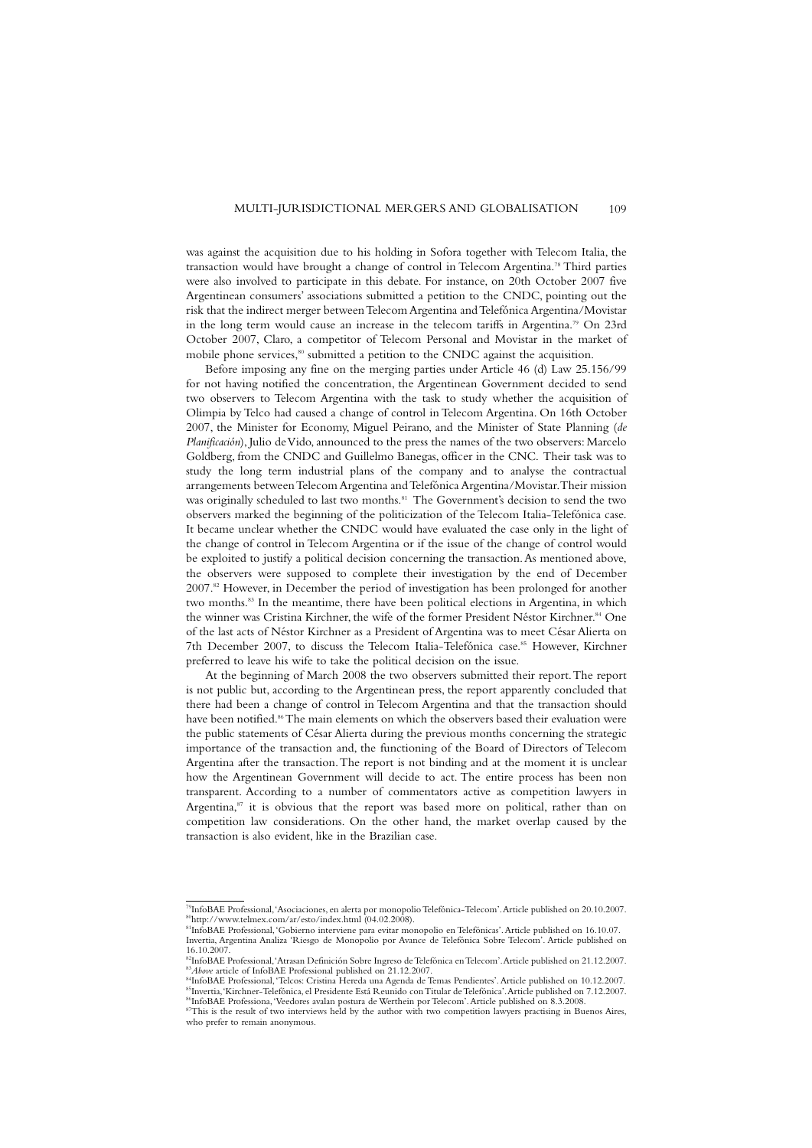was against the acquisition due to his holding in Sofora together with Telecom Italia, the transaction would have brought a change of control in Telecom Argentina.<sup>78</sup> Third parties were also involved to participate in this debate. For instance, on 20th October 2007 five Argentinean consumers' associations submitted a petition to the CNDC, pointing out the risk that the indirect merger between Telecom Argentina and Telefónica Argentina/Movistar in the long term would cause an increase in the telecom tariffs in Argentina.79 On 23rd October 2007, Claro, a competitor of Telecom Personal and Movistar in the market of mobile phone services,<sup>80</sup> submitted a petition to the CNDC against the acquisition.

Before imposing any fine on the merging parties under Article 46 (d) Law 25.156/99 for not having notified the concentration, the Argentinean Government decided to send two observers to Telecom Argentina with the task to study whether the acquisition of Olimpia by Telco had caused a change of control in Telecom Argentina. On 16th October 2007, the Minister for Economy, Miguel Peirano, and the Minister of State Planning (*de Planificación*), Julio de Vido, announced to the press the names of the two observers: Marcelo Goldberg, from the CNDC and Guillelmo Banegas, officer in the CNC. Their task was to study the long term industrial plans of the company and to analyse the contractual arrangements between Telecom Argentina and Telefónica Argentina/Movistar.Their mission was originally scheduled to last two months.<sup>81</sup> The Government's decision to send the two observers marked the beginning of the politicization of the Telecom Italia-Telefónica case. It became unclear whether the CNDC would have evaluated the case only in the light of the change of control in Telecom Argentina or if the issue of the change of control would be exploited to justify a political decision concerning the transaction.As mentioned above, the observers were supposed to complete their investigation by the end of December  $2007<sup>82</sup>$  However, in December the period of investigation has been prolonged for another two months.<sup>83</sup> In the meantime, there have been political elections in Argentina, in which the winner was Cristina Kirchner, the wife of the former President Néstor Kirchner.<sup>84</sup> One of the last acts of Néstor Kirchner as a President of Argentina was to meet César Alierta on 7th December 2007, to discuss the Telecom Italia-Telefónica case.<sup>85</sup> However, Kirchner preferred to leave his wife to take the political decision on the issue.

At the beginning of March 2008 the two observers submitted their report.The report is not public but, according to the Argentinean press, the report apparently concluded that there had been a change of control in Telecom Argentina and that the transaction should have been notified.<sup>86</sup>The main elements on which the observers based their evaluation were the public statements of César Alierta during the previous months concerning the strategic importance of the transaction and, the functioning of the Board of Directors of Telecom Argentina after the transaction.The report is not binding and at the moment it is unclear how the Argentinean Government will decide to act. The entire process has been non transparent. According to a number of commentators active as competition lawyers in Argentina, $s<sup>7</sup>$  it is obvious that the report was based more on political, rather than on competition law considerations. On the other hand, the market overlap caused by the transaction is also evident, like in the Brazilian case.

<sup>79</sup>InfoBAE Professional,'Asociaciones, en alerta por monopolio Telefónica-Telecom'.Article published on 20.10.2007. 80http://www.telmex.com/ar/esto/index.html (04.02.2008).

<sup>81</sup>InfoBAE Professional,'Gobierno interviene para evitar monopolio en Telefónicas'.Article published on 16.10.07. Invertia, Argentina Analiza 'Riesgo de Monopolio por Avance de Telefónica Sobre Telecom'. Article published on 16.10.2007.

<sup>&</sup>lt;sup>82</sup>InfoBAE Professional, 'Atrasan Definición Sobre Ingreso de Telefónica en Telecom'. Article published on 21.12.2007.<br><sup>83</sup>Above article of InfoBAE Professional published on 21.12.2007.

<sup>&</sup>lt;sup>83</sup>*Above* article of InfoBAE Professional published on 21.12.2007.<br><sup>84</sup>InfoBAE Professional, 'Telcos: Cristina Hereda una Agenda de Temas Pendientes'. Article published on 10.12.2007.<br><sup>85</sup>Invertia, 'Kirchner-Telefónica, 86InfoBAE Professiona,'Veedores avalan postura de Werthein por Telecom'.Article published on 8.3.2008.

<sup>&</sup>lt;sup>87</sup>This is the result of two interviews held by the author with two competition lawyers practising in Buenos Aires, who prefer to remain anonymous.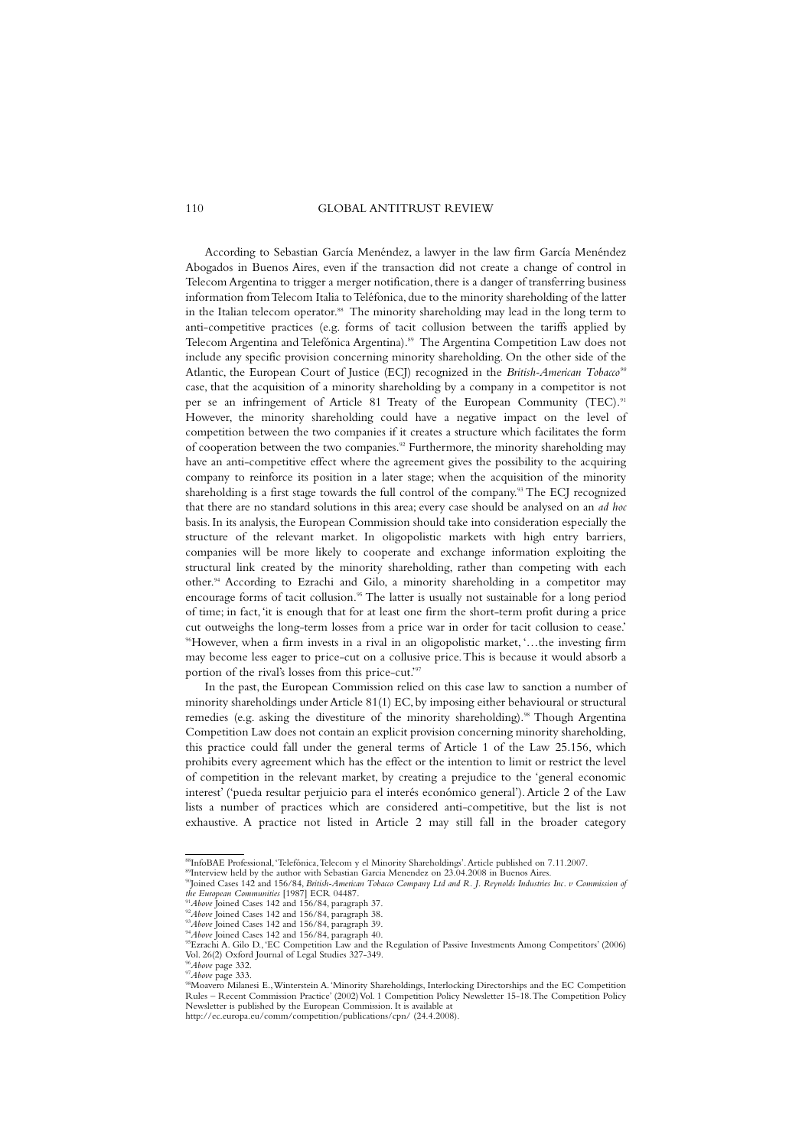According to Sebastian García Menéndez, a lawyer in the law firm García Menéndez Abogados in Buenos Aires, even if the transaction did not create a change of control in Telecom Argentina to trigger a merger notification, there is a danger of transferring business information from Telecom Italia to Teléfonica, due to the minority shareholding of the latter in the Italian telecom operator.<sup>88</sup> The minority shareholding may lead in the long term to anti-competitive practices (e.g. forms of tacit collusion between the tariffs applied by Telecom Argentina and Telefónica Argentina).<sup>89</sup> The Argentina Competition Law does not include any specific provision concerning minority shareholding. On the other side of the Atlantic, the European Court of Justice (ECJ) recognized in the *British-American Tobacco<sup>90</sup>* case, that the acquisition of a minority shareholding by a company in a competitor is not per se an infringement of Article 81 Treaty of the European Community (TEC).<sup>91</sup> However, the minority shareholding could have a negative impact on the level of competition between the two companies if it creates a structure which facilitates the form of cooperation between the two companies.92 Furthermore, the minority shareholding may have an anti-competitive effect where the agreement gives the possibility to the acquiring company to reinforce its position in a later stage; when the acquisition of the minority shareholding is a first stage towards the full control of the company.93 The ECJ recognized that there are no standard solutions in this area; every case should be analysed on an *ad hoc* basis.In its analysis, the European Commission should take into consideration especially the structure of the relevant market. In oligopolistic markets with high entry barriers, companies will be more likely to cooperate and exchange information exploiting the structural link created by the minority shareholding, rather than competing with each other.94 According to Ezrachi and Gilo, a minority shareholding in a competitor may encourage forms of tacit collusion.<sup>95</sup> The latter is usually not sustainable for a long period of time; in fact,'it is enough that for at least one firm the short-term profit during a price cut outweighs the long-term losses from a price war in order for tacit collusion to cease.' 96 However, when a firm invests in a rival in an oligopolistic market, '…the investing firm may become less eager to price-cut on a collusive price.This is because it would absorb a portion of the rival's losses from this price-cut.'97

In the past, the European Commission relied on this case law to sanction a number of minority shareholdings under Article 81(1) EC, by imposing either behavioural or structural remedies (e.g. asking the divestiture of the minority shareholding).<sup>98</sup> Though Argentina Competition Law does not contain an explicit provision concerning minority shareholding, this practice could fall under the general terms of Article 1 of the Law 25.156, which prohibits every agreement which has the effect or the intention to limit or restrict the level of competition in the relevant market, by creating a prejudice to the 'general economic interest' ('pueda resultar perjuicio para el interés económico general').Article 2 of the Law lists a number of practices which are considered anti-competitive, but the list is not exhaustive. A practice not listed in Article 2 may still fall in the broader category

<sup>88</sup>InfoBAE Professional, 'Telefónica, Telecom y el Minority Shareholdings'. Article published on 7.11.2007.

<sup>&</sup>lt;sup>89</sup>Interview held by the author with Sebastian Garcia Menendez on 23.04.2008 in Buenos Aires.

<sup>&</sup>lt;sup>90</sup>Joined Cases 142<sup>'</sup> and 156/84, *British-American Tobacco Company Ltd and R. J. Reynolds Industries Inc. v Commission of*<br>the European Communities [1987] ECR 04487.<br><sup>91</sup>Above Joined Cases 142 and 156/84, paragraph 37.

 $^{92}Above$  Joined Cases 142 and 156/84, paragraph 38.<br> $^{93}Above$  Joined Cases 142 and 156/84, paragraph 39.<br> $^{94}Above$  Joined Cases 142 and 156/84, paragraph 39.<br> $^{94}Above$  Joined Cases 142 and 156/84, paragraph 40.<br> $^{95}Ezrach$ Vol. 26(2) Oxford Journal of Legal Studies 327-349.

<sup>&</sup>lt;sup>97</sup>*Above* page 333.<br><sup>98</sup>Moavero Milanesi E.,Winterstein A.'Minority Shareholdings, Interlocking Directorships and the EC Competition Rules – Recent Commission Practice' (2002) Vol. 1 Competition Policy Newsletter 15-18.The Competition Policy Newsletter is published by the European Commission. It is available at

http://ec.europa.eu/comm/competition/publications/cpn/ (24.4.2008).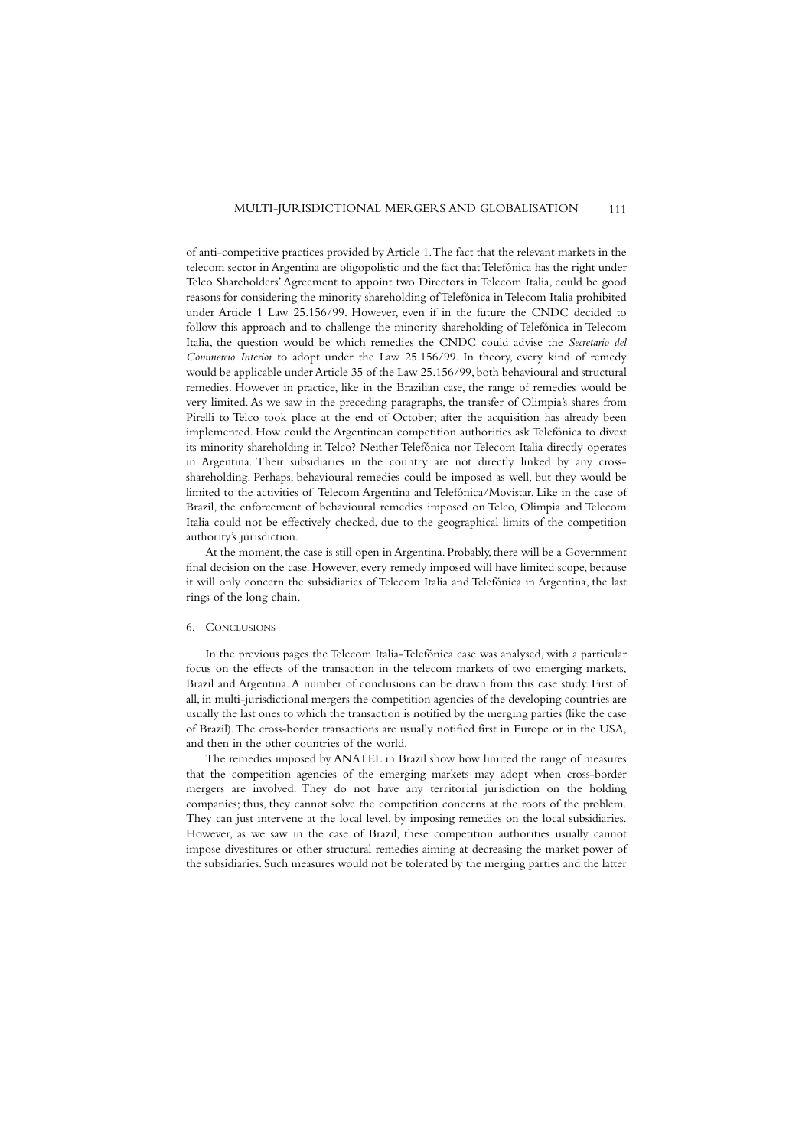of anti-competitive practices provided by Article 1.The fact that the relevant markets in the telecom sector in Argentina are oligopolistic and the fact that Telefónica has the right under Telco Shareholders' Agreement to appoint two Directors in Telecom Italia, could be good reasons for considering the minority shareholding of Telefónica in Telecom Italia prohibited under Article 1 Law 25.156/99. However, even if in the future the CNDC decided to follow this approach and to challenge the minority shareholding of Telefónica in Telecom Italia, the question would be which remedies the CNDC could advise the *Secretario del Commercio Interior* to adopt under the Law 25.156/99. In theory, every kind of remedy would be applicable under Article 35 of the Law 25.156/99, both behavioural and structural remedies. However in practice, like in the Brazilian case, the range of remedies would be very limited. As we saw in the preceding paragraphs, the transfer of Olimpia's shares from Pirelli to Telco took place at the end of October; after the acquisition has already been implemented. How could the Argentinean competition authorities ask Telefónica to divest its minority shareholding in Telco? Neither Telefónica nor Telecom Italia directly operates in Argentina. Their subsidiaries in the country are not directly linked by any crossshareholding. Perhaps, behavioural remedies could be imposed as well, but they would be limited to the activities of Telecom Argentina and Telefónica/Movistar. Like in the case of Brazil, the enforcement of behavioural remedies imposed on Telco, Olimpia and Telecom Italia could not be effectively checked, due to the geographical limits of the competition authority's jurisdiction.

At the moment, the case is still open in Argentina. Probably, there will be a Government final decision on the case. However, every remedy imposed will have limited scope, because it will only concern the subsidiaries of Telecom Italia and Telefónica in Argentina, the last rings of the long chain.

#### 6. CONCLUSIONS

In the previous pages the Telecom Italia-Telefónica case was analysed, with a particular focus on the effects of the transaction in the telecom markets of two emerging markets, Brazil and Argentina. A number of conclusions can be drawn from this case study. First of all, in multi-jurisdictional mergers the competition agencies of the developing countries are usually the last ones to which the transaction is notified by the merging parties (like the case of Brazil).The cross-border transactions are usually notified first in Europe or in the USA, and then in the other countries of the world.

The remedies imposed by ANATEL in Brazil show how limited the range of measures that the competition agencies of the emerging markets may adopt when cross-border mergers are involved. They do not have any territorial jurisdiction on the holding companies; thus, they cannot solve the competition concerns at the roots of the problem. They can just intervene at the local level, by imposing remedies on the local subsidiaries. However, as we saw in the case of Brazil, these competition authorities usually cannot impose divestitures or other structural remedies aiming at decreasing the market power of the subsidiaries. Such measures would not be tolerated by the merging parties and the latter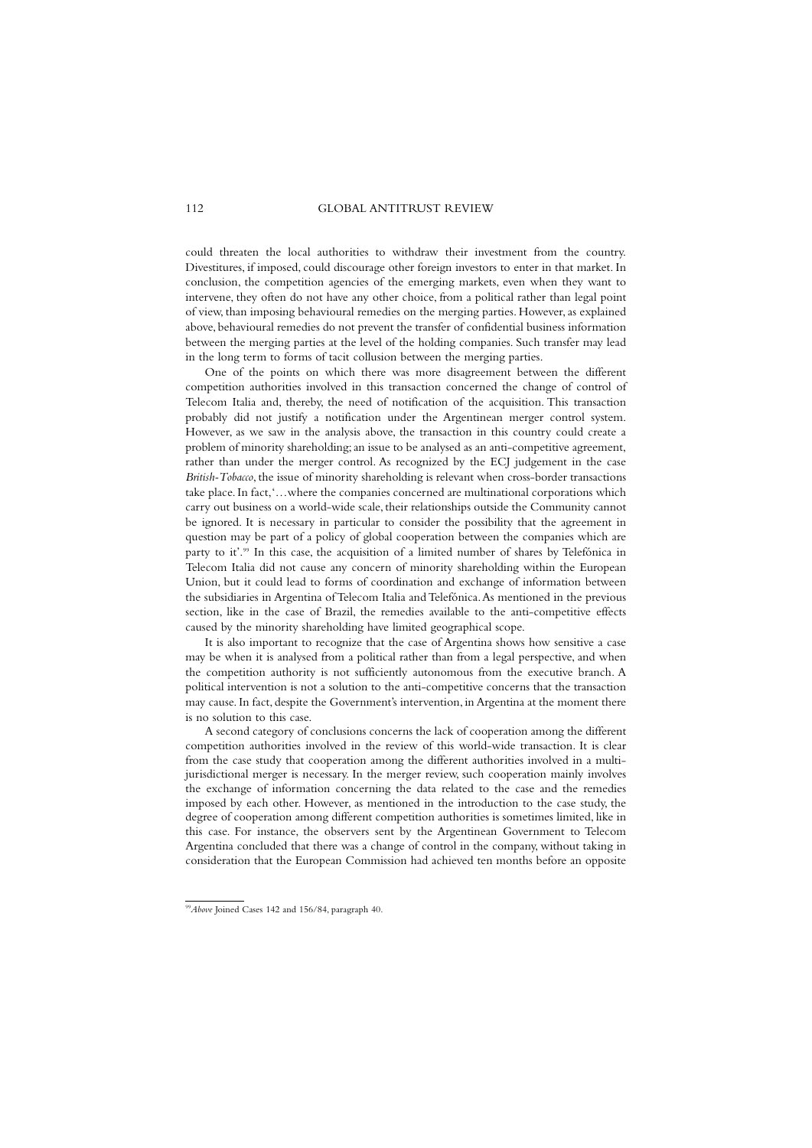could threaten the local authorities to withdraw their investment from the country. Divestitures, if imposed, could discourage other foreign investors to enter in that market. In conclusion, the competition agencies of the emerging markets, even when they want to intervene, they often do not have any other choice, from a political rather than legal point of view, than imposing behavioural remedies on the merging parties. However, as explained above, behavioural remedies do not prevent the transfer of confidential business information between the merging parties at the level of the holding companies. Such transfer may lead in the long term to forms of tacit collusion between the merging parties.

One of the points on which there was more disagreement between the different competition authorities involved in this transaction concerned the change of control of Telecom Italia and, thereby, the need of notification of the acquisition. This transaction probably did not justify a notification under the Argentinean merger control system. However, as we saw in the analysis above, the transaction in this country could create a problem of minority shareholding; an issue to be analysed as an anti-competitive agreement, rather than under the merger control. As recognized by the ECJ judgement in the case *British-Tobacco*, the issue of minority shareholding is relevant when cross-border transactions take place. In fact,'…where the companies concerned are multinational corporations which carry out business on a world-wide scale, their relationships outside the Community cannot be ignored. It is necessary in particular to consider the possibility that the agreement in question may be part of a policy of global cooperation between the companies which are party to it'.99 In this case, the acquisition of a limited number of shares by Telefónica in Telecom Italia did not cause any concern of minority shareholding within the European Union, but it could lead to forms of coordination and exchange of information between the subsidiaries in Argentina of Telecom Italia and Telefónica.As mentioned in the previous section, like in the case of Brazil, the remedies available to the anti-competitive effects caused by the minority shareholding have limited geographical scope.

It is also important to recognize that the case of Argentina shows how sensitive a case may be when it is analysed from a political rather than from a legal perspective, and when the competition authority is not sufficiently autonomous from the executive branch. A political intervention is not a solution to the anti-competitive concerns that the transaction may cause. In fact, despite the Government's intervention, in Argentina at the moment there is no solution to this case.

A second category of conclusions concerns the lack of cooperation among the different competition authorities involved in the review of this world-wide transaction. It is clear from the case study that cooperation among the different authorities involved in a multijurisdictional merger is necessary. In the merger review, such cooperation mainly involves the exchange of information concerning the data related to the case and the remedies imposed by each other. However, as mentioned in the introduction to the case study, the degree of cooperation among different competition authorities is sometimes limited, like in this case. For instance, the observers sent by the Argentinean Government to Telecom Argentina concluded that there was a change of control in the company, without taking in consideration that the European Commission had achieved ten months before an opposite

<sup>&</sup>lt;sup>99</sup>Above Joined Cases 142 and 156/84, paragraph 40.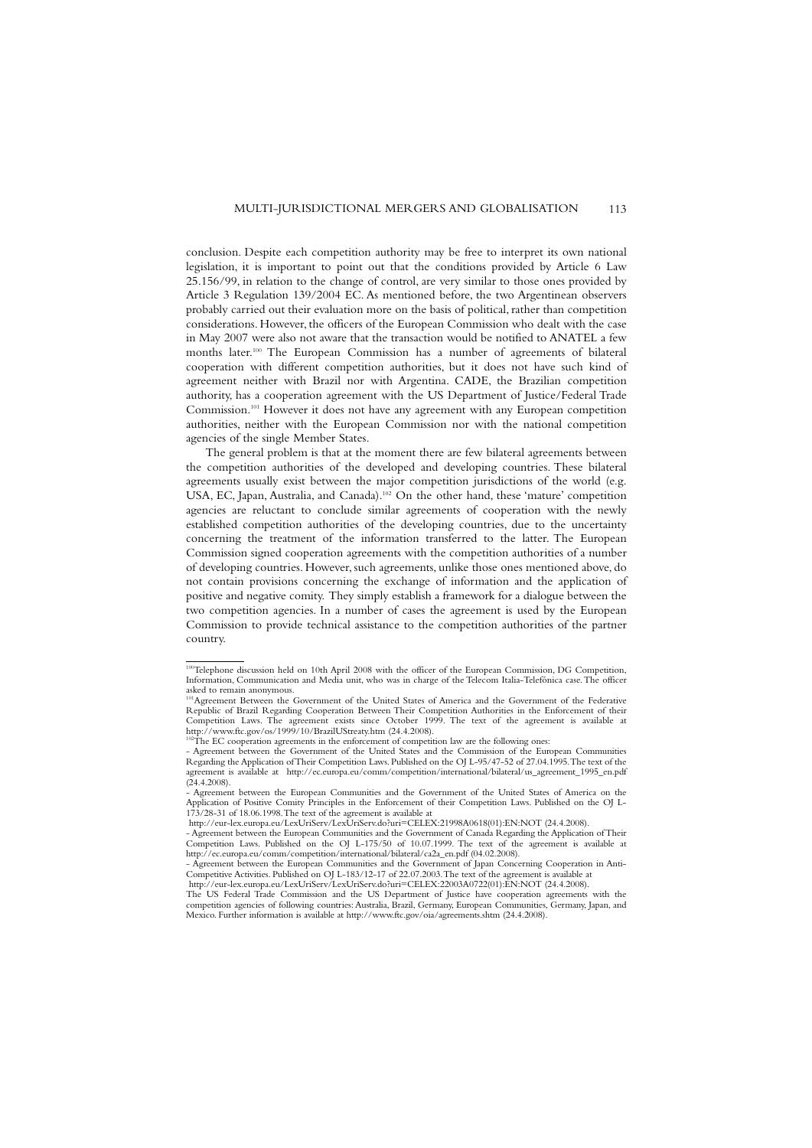conclusion. Despite each competition authority may be free to interpret its own national legislation, it is important to point out that the conditions provided by Article 6 Law 25.156/99, in relation to the change of control, are very similar to those ones provided by Article 3 Regulation 139/2004 EC. As mentioned before, the two Argentinean observers probably carried out their evaluation more on the basis of political, rather than competition considerations. However, the officers of the European Commission who dealt with the case in May 2007 were also not aware that the transaction would be notified to ANATEL a few months later.100 The European Commission has a number of agreements of bilateral cooperation with different competition authorities, but it does not have such kind of agreement neither with Brazil nor with Argentina. CADE, the Brazilian competition authority, has a cooperation agreement with the US Department of Justice/Federal Trade Commission.101 However it does not have any agreement with any European competition authorities, neither with the European Commission nor with the national competition agencies of the single Member States.

The general problem is that at the moment there are few bilateral agreements between the competition authorities of the developed and developing countries. These bilateral agreements usually exist between the major competition jurisdictions of the world (e.g. USA, EC, Japan, Australia, and Canada).102 On the other hand, these 'mature' competition agencies are reluctant to conclude similar agreements of cooperation with the newly established competition authorities of the developing countries, due to the uncertainty concerning the treatment of the information transferred to the latter. The European Commission signed cooperation agreements with the competition authorities of a number of developing countries. However, such agreements, unlike those ones mentioned above, do not contain provisions concerning the exchange of information and the application of positive and negative comity. They simply establish a framework for a dialogue between the two competition agencies. In a number of cases the agreement is used by the European Commission to provide technical assistance to the competition authorities of the partner country.

<sup>100</sup>Telephone discussion held on 10th April 2008 with the officer of the European Commission, DG Competition, Information, Communication and Media unit, who was in charge of the Telecom Italia-Telefónica case.The officer asked to remain anonymous.

<sup>101</sup>Agreement Between the Government of the United States of America and the Government of the Federative Republic of Brazil Regarding Cooperation Between Their Competition Authorities in the Enforcement of their Competition Laws. The agreement exists since October 1999. The text of the agreement is available at http://www.ftc.gov/os/1999/10/BrazilUStreaty.htm (24.4.2008).

 $102$ The EC cooperation agreements in the enforcement of competition law are the following ones:

<sup>-</sup> Agreement between the Government of the United States and the Commission of the European Communities Regarding the Application of Their Competition Laws. Published on the OJ L-95/47-52 of 27.04.1995.The text of the agreement is available at http://ec.europa.eu/comm/competition/international/bilateral/us\_agreement\_1995\_en.pdf  $(24.4.2008)$ .

<sup>-</sup> Agreement between the European Communities and the Government of the United States of America on the Application of Positive Comity Principles in the Enforcement of their Competition Laws. Published on the OJ L-173/28-31 of 18.06.1998.The text of the agreement is available at

http://eur-lex.europa.eu/LexUriServ/LexUriServ.do?uri=CELEX:21998A0618(01):EN:NOT (24.4.2008).

<sup>-</sup> Agreement between the European Communities and the Government of Canada Regarding the Application of Their Competition Laws. Published on the OJ L-175/50 of 10.07.1999. The text of the agreement is available at http://ec.europa.eu/comm/competition/international/bilateral/ca2a\_en.pdf (04.02.2008).

Agreement between the European Communities and the Government of Japan Concerning Cooperation in Anti-Competitive Activities. Published on OJ L-183/12-17 of 22.07.2003.The text of the agreement is available at http://eur-lex.europa.eu/LexUriServ/LexUriServ.do?uri=CELEX:22003A0722(01):EN:NOT (24.4.2008).

The US Federal Trade Commission and the US Department of Justice have cooperation agreements with the competition agencies of following countries: Australia, Brazil, Germany, European Communities, Germany, Japan, and Mexico. Further information is available at http://www.ftc.gov/oia/agreements.shtm (24.4.2008).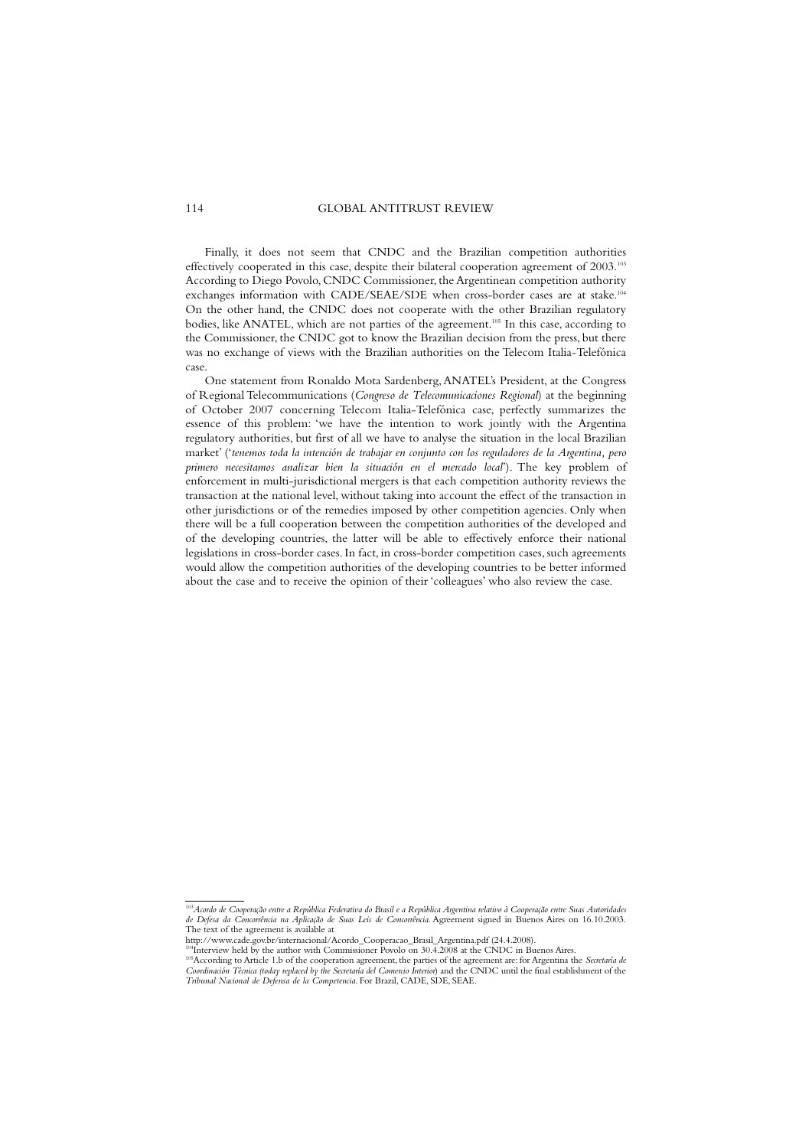Finally, it does not seem that CNDC and the Brazilian competition authorities effectively cooperated in this case, despite their bilateral cooperation agreement of 2003.<sup>103</sup> According to Diego Povolo, CNDC Commissioner, the Argentinean competition authority exchanges information with CADE/SEAE/SDE when cross-border cases are at stake.<sup>104</sup> On the other hand, the CNDC does not cooperate with the other Brazilian regulatory bodies, like ANATEL, which are not parties of the agreement.<sup>105</sup> In this case, according to the Commissioner, the CNDC got to know the Brazilian decision from the press, but there was no exchange of views with the Brazilian authorities on the Telecom Italia-Telefónica case.

One statement from Ronaldo Mota Sardenberg,ANATEL's President, at the Congress of Regional Telecommunications (*Congreso de Telecomunicaciones Regional*) at the beginning of October 2007 concerning Telecom Italia-Telefónica case, perfectly summarizes the essence of this problem: 'we have the intention to work jointly with the Argentina regulatory authorities, but first of all we have to analyse the situation in the local Brazilian market' ('*tenemos toda la intención de trabajar en conjunto con los reguladores de la Argentina, pero primero necesitamos analizar bien la situación en el mercado local*'). The key problem of enforcement in multi-jurisdictional mergers is that each competition authority reviews the transaction at the national level, without taking into account the effect of the transaction in other jurisdictions or of the remedies imposed by other competition agencies. Only when there will be a full cooperation between the competition authorities of the developed and of the developing countries, the latter will be able to effectively enforce their national legislations in cross-border cases. In fact, in cross-border competition cases, such agreements would allow the competition authorities of the developing countries to be better informed about the case and to receive the opinion of their 'colleagues' who also review the case.

<sup>103</sup>*Acordo de Cooperação entre a República Federativa do Brasil e a República Argentina relativo à Cooperação entre Suas Autoridades de Defesa da Concorrência na Aplicação de Suas Leis de Concorrência*. Agreement signed in Buenos Aires on 16.10.2003. The text of the agreement is available at

http://www.cade.gov.br/internacional/Acordo\_Cooperacao\_Brasil\_Argentina.pdf (24.4.2008).

 $^{44}$ Interview held by the author with Commissioner Povolo on 30.4.2008 at the CNDC in Buenos Aires. <sup>105</sup>According to Article 1.b of the cooperation agreement, the parties of the agreement are: for Argentina the *Secretaría de Coordinación Técnica (today replaced by the Secretaría del Comercio Interior*) and the CNDC until the final establishment of the *Tribunal Nacional de Defensa de la Competencia*. For Brazil, CADE, SDE, SEAE.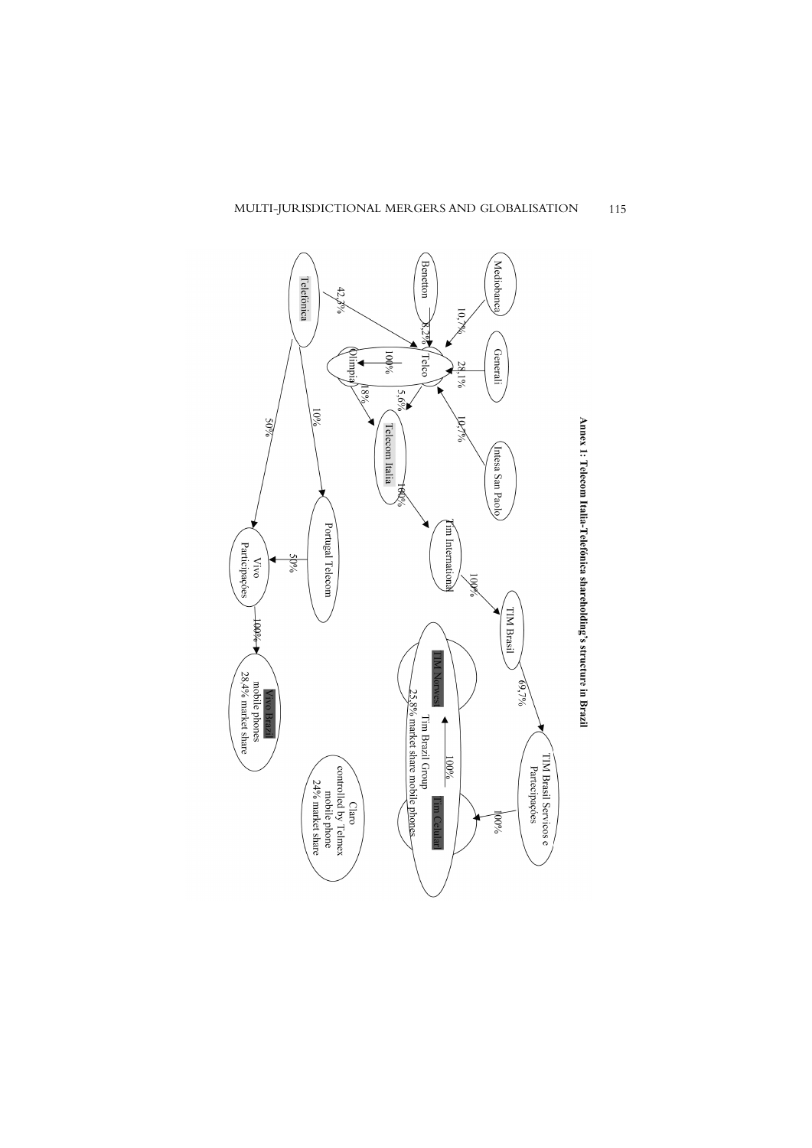